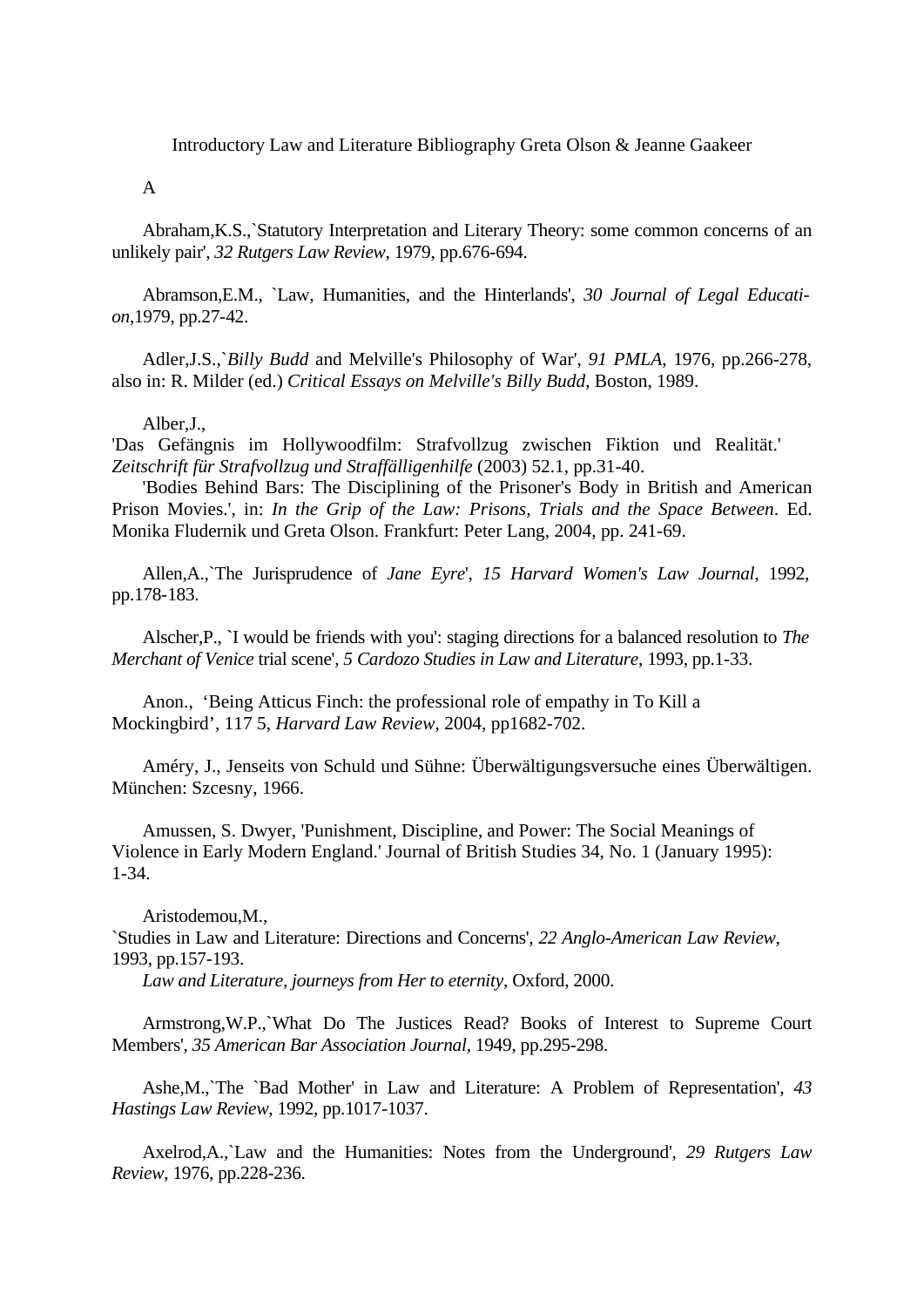Introductory Law and Literature Bibliography Greta Olson & Jeanne Gaakeer

A

Abraham,K.S.,`Statutory Interpretation and Literary Theory: some common concerns of an unlikely pair', *32 Rutgers Law Review*, 1979, pp.676-694.

Abramson,E.M., `Law, Humanities, and the Hinterlands', *30 Journal of Legal Education*,1979, pp.27-42.

Adler,J.S.,`*Billy Budd* and Melville's Philosophy of War', *91 PMLA*, 1976, pp.266-278, also in: R. Milder (ed.) *Critical Essays on Melville's Billy Budd*, Boston, 1989.

Alber,J.,

'Das Gefängnis im Hollywoodfilm: Strafvollzug zwischen Fiktion und Realität.' *Zeitschrift für Strafvollzug und Straffälligenhilfe* (2003) 52.1, pp.31-40.

'Bodies Behind Bars: The Disciplining of the Prisoner's Body in British and American Prison Movies.', in: *In the Grip of the Law: Prisons, Trials and the Space Between*. Ed. Monika Fludernik und Greta Olson. Frankfurt: Peter Lang, 2004, pp. 241-69.

Allen,A.,`The Jurisprudence of *Jane Eyre*', *15 Harvard Women's Law Journal*, 1992, pp.178-183.

Alscher,P., `I would be friends with you': staging directions for a balanced resolution to *The Merchant of Venice* trial scene', *5 Cardozo Studies in Law and Literature*, 1993, pp.1-33.

Anon., 'Being Atticus Finch: the professional role of empathy in To Kill a Mockingbird', 117 5, *Harvard Law Review*, 2004, pp1682-702.

Améry, J., Jenseits von Schuld und Sühne: Überwältigungsversuche eines Überwältigen. München: Szcesny, 1966.

Amussen, S. Dwyer, 'Punishment, Discipline, and Power: The Social Meanings of Violence in Early Modern England.' Journal of British Studies 34, No. 1 (January 1995): 1-34.

Aristodemou,M.,

`Studies in Law and Literature: Directions and Concerns', *22 Anglo-American Law Review*, 1993, pp.157-193.

*Law and Literature, journeys from Her to eternity*, Oxford, 2000.

Armstrong,W.P.,`What Do The Justices Read? Books of Interest to Supreme Court Members', *35 American Bar Association Journal*, 1949, pp.295-298.

Ashe,M.,`The `Bad Mother' in Law and Literature: A Problem of Representation', *43 Hastings Law Review*, 1992, pp.1017-1037.

Axelrod,A.,`Law and the Humanities: Notes from the Underground', *29 Rutgers Law Review*, 1976, pp.228-236.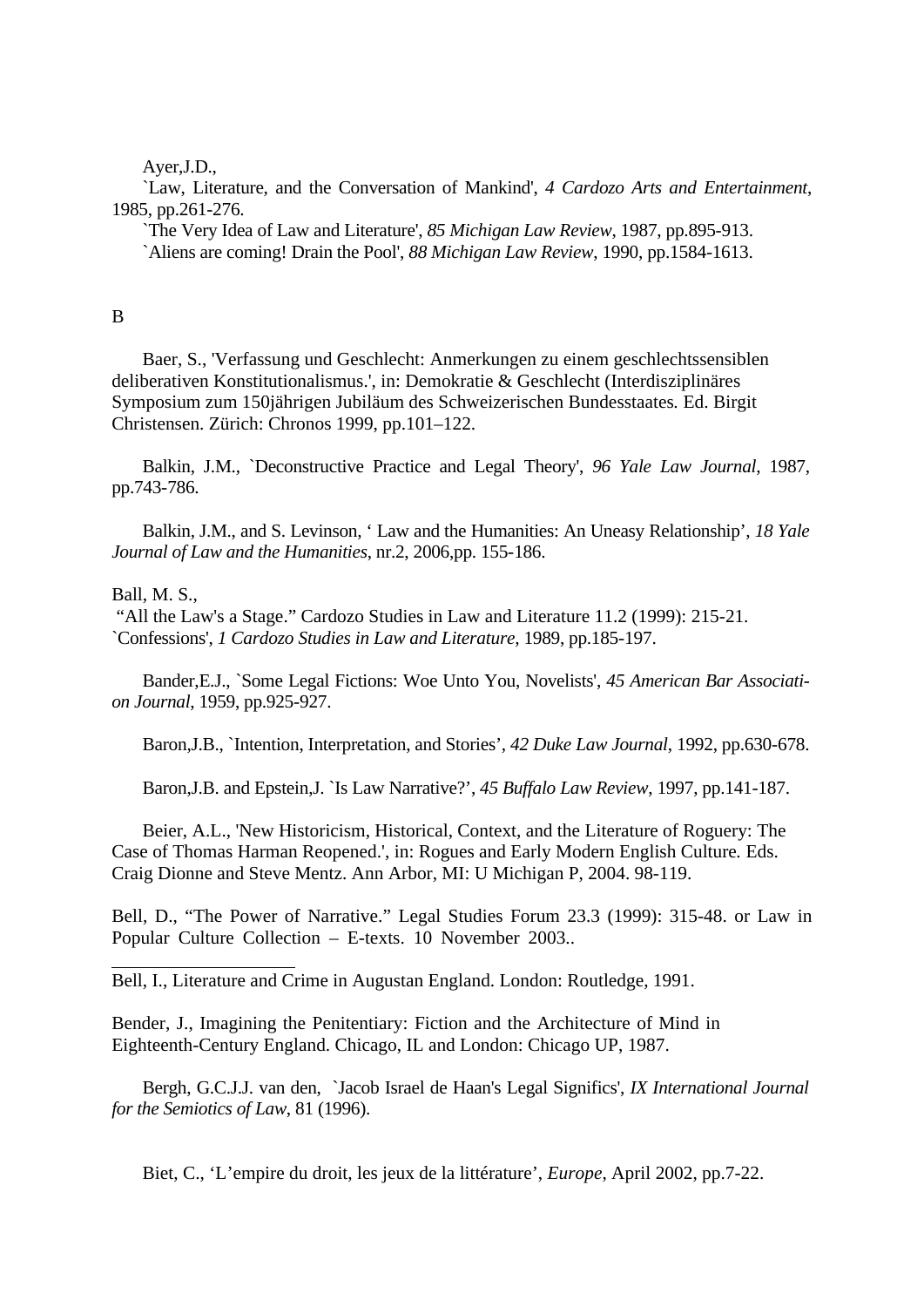Ayer,J.D.,

`Law, Literature, and the Conversation of Mankind', *4 Cardozo Arts and Entertainment*, 1985, pp.261-276.

`The Very Idea of Law and Literature', *85 Michigan Law Review*, 1987, pp.895-913. `Aliens are coming! Drain the Pool', *88 Michigan Law Review*, 1990, pp.1584-1613.

# B

Baer, S., 'Verfassung und Geschlecht: Anmerkungen zu einem geschlechtssensiblen deliberativen Konstitutionalismus.', in: Demokratie & Geschlecht (Interdisziplinäres Symposium zum 150jährigen Jubiläum des Schweizerischen Bundesstaates*.* Ed. Birgit Christensen. Zürich: Chronos 1999, pp.101–122.

Balkin, J.M., `Deconstructive Practice and Legal Theory', *96 Yale Law Journal*, 1987, pp.743-786.

Balkin, J.M., and S. Levinson, ' Law and the Humanities: An Uneasy Relationship', *18 Yale Journal of Law and the Humanities*, nr.2, 2006,pp. 155-186.

### Ball, M. S.,

 "All the Law's a Stage." Cardozo Studies in Law and Literature 11.2 (1999): 215-21. `Confessions', *1 Cardozo Studies in Law and Literature*, 1989, pp.185-197.

Bander,E.J., `Some Legal Fictions: Woe Unto You, Novelists', *45 American Bar Association Journal*, 1959, pp.925-927.

Baron,J.B., `Intention, Interpretation, and Stories', *42 Duke Law Journal*, 1992, pp.630-678.

Baron,J.B. and Epstein,J. `Is Law Narrative?', *45 Buffalo Law Review*, 1997, pp.141-187.

Beier, A.L., 'New Historicism, Historical, Context, and the Literature of Roguery: The Case of Thomas Harman Reopened.', in: Rogues and Early Modern English Culture*.* Eds. Craig Dionne and Steve Mentz. Ann Arbor, MI: U Michigan P, 2004. 98-119.

Bell, D., "The Power of Narrative." Legal Studies Forum 23.3 (1999): 315-48. or Law in Popular Culture Collection – E-texts. 10 November 2003..

Bell, I., Literature and Crime in Augustan England. London: Routledge, 1991.

Bender, J., Imagining the Penitentiary: Fiction and the Architecture of Mind in Eighteenth-Century England. Chicago, IL and London: Chicago UP, 1987.

Bergh, G.C.J.J. van den, `Jacob Israel de Haan's Legal Significs', *IX International Journal for the Semiotics of Law*, 81 (1996).

Biet, C., 'L'empire du droit, les jeux de la littérature', *Europe*, April 2002, pp.7-22.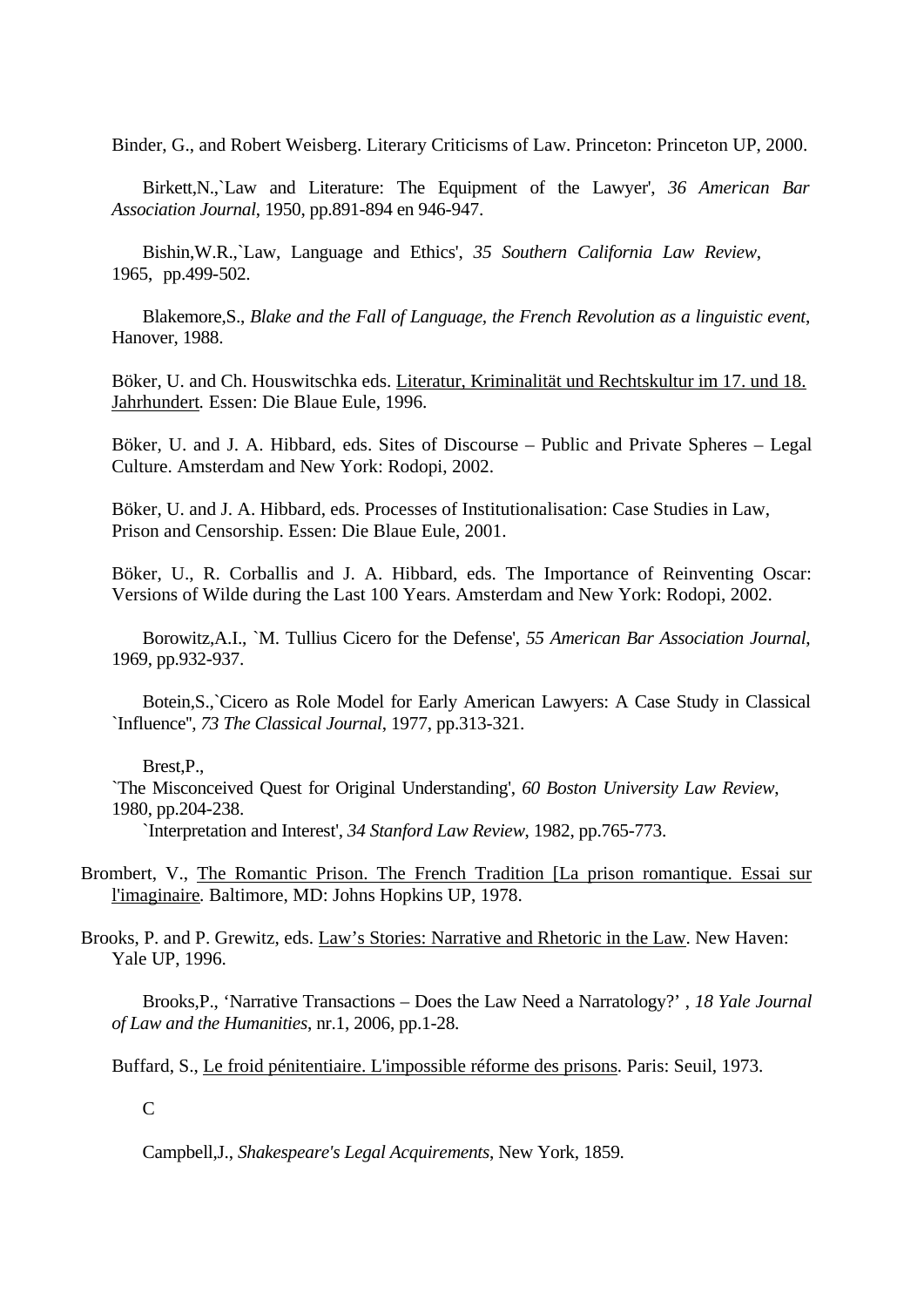Binder, G., and Robert Weisberg. Literary Criticisms of Law. Princeton: Princeton UP, 2000.

Birkett,N.,`Law and Literature: The Equipment of the Lawyer', *36 American Bar Association Journal*, 1950, pp.891-894 en 946-947.

Bishin,W.R.,`Law, Language and Ethics', *35 Southern California Law Review*, 1965, pp.499-502.

Blakemore,S., *Blake and the Fall of Language, the French Revolution as a linguistic event*, Hanover, 1988.

Böker, U. and Ch. Houswitschka eds. Literatur, Kriminalität und Rechtskultur im 17. und 18. Jahrhundert*.* Essen: Die Blaue Eule, 1996.

Böker, U. and J. A. Hibbard, eds. Sites of Discourse – Public and Private Spheres – Legal Culture. Amsterdam and New York: Rodopi, 2002.

Böker, U. and J. A. Hibbard, eds. Processes of Institutionalisation: Case Studies in Law, Prison and Censorship. Essen: Die Blaue Eule, 2001.

Böker, U., R. Corballis and J. A. Hibbard, eds. The Importance of Reinventing Oscar: Versions of Wilde during the Last 100 Years. Amsterdam and New York: Rodopi, 2002.

Borowitz,A.I., `M. Tullius Cicero for the Defense', *55 American Bar Association Journal*, 1969, pp.932-937.

Botein,S.,`Cicero as Role Model for Early American Lawyers: A Case Study in Classical `Influence'', *73 The Classical Journal*, 1977, pp.313-321.

Brest,P.,

`The Misconceived Quest for Original Understanding', *60 Boston University Law Review*, 1980, pp.204-238.

`Interpretation and Interest', *34 Stanford Law Review*, 1982, pp.765-773.

Brombert, V., The Romantic Prison. The French Tradition [La prison romantique. Essai sur l'imaginaire*.* Baltimore, MD: Johns Hopkins UP, 1978.

Brooks, P. and P. Grewitz, eds. Law's Stories: Narrative and Rhetoric in the Law. New Haven: Yale UP, 1996.

Brooks,P., 'Narrative Transactions – Does the Law Need a Narratology?' , *18 Yale Journal of Law and the Humanities*, nr.1, 2006, pp.1-28.

Buffard, S., Le froid pénitentiaire. L'impossible réforme des prisons*.* Paris: Seuil, 1973.

 $\mathcal{C}$ 

Campbell,J., *Shakespeare's Legal Acquirements*, New York, 1859.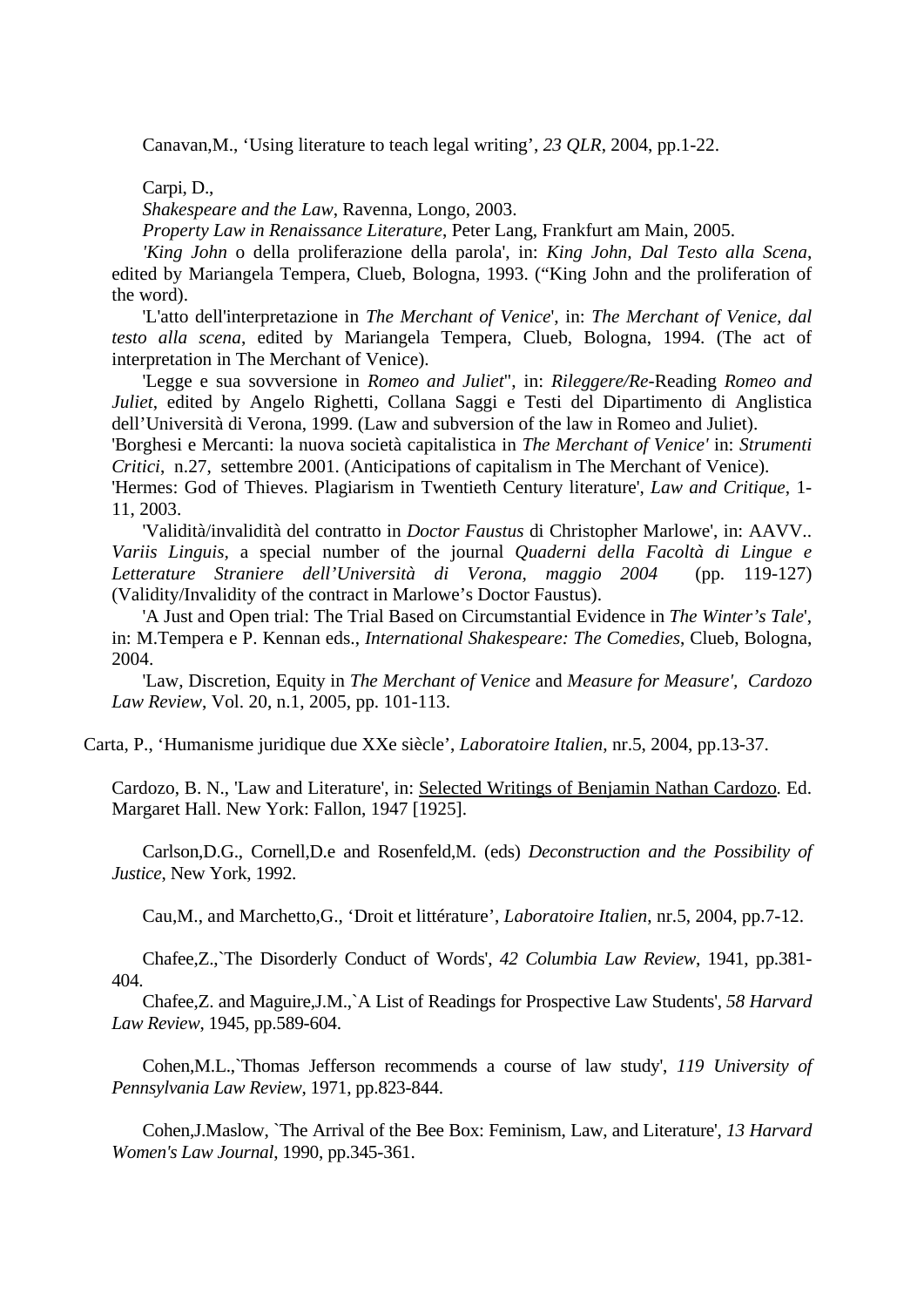Canavan,M., 'Using literature to teach legal writing', *23 QLR*, 2004, pp.1-22.

Carpi, D.,

*Shakespeare and the Law*, Ravenna, Longo, 2003.

*Property Law in Renaissance Literature*, Peter Lang, Frankfurt am Main, 2005.

*'King John* o della proliferazione della parola', in: *King John, Dal Testo alla Scena*, edited by Mariangela Tempera, Clueb, Bologna, 1993. ("King John and the proliferation of the word).

'L'atto dell'interpretazione in *The Merchant of Venice*', in: *The Merchant of Venice, dal testo alla scena*, edited by Mariangela Tempera, Clueb, Bologna, 1994. (The act of interpretation in The Merchant of Venice).

'Legge e sua sovversione in *Romeo and Juliet*", in: *Rileggere/Re-*Reading *Romeo and Juliet*, edited by Angelo Righetti, Collana Saggi e Testi del Dipartimento di Anglistica dell'Università di Verona, 1999. (Law and subversion of the law in Romeo and Juliet).

'Borghesi e Mercanti: la nuova società capitalistica in *The Merchant of Venice'* in: *Strumenti Critici*, n.27, settembre 2001. (Anticipations of capitalism in The Merchant of Venice).

'Hermes: God of Thieves. Plagiarism in Twentieth Century literature', *Law and Critique*, 1- 11, 2003.

'Validità/invalidità del contratto in *Doctor Faustus* di Christopher Marlowe', in: AAVV.. *Variis Linguis,* a special number of the journal *Quaderni della Facoltà di Lingue e Letterature Straniere dell'Università di Verona, maggio 2004* (pp. 119-127) (Validity/Invalidity of the contract in Marlowe's Doctor Faustus).

'A Just and Open trial: The Trial Based on Circumstantial Evidence in *The Winter's Tale*', in: M.Tempera e P. Kennan eds., *International Shakespeare: The Comedies*, Clueb, Bologna, 2004.

'Law, Discretion, Equity in *The Merchant of Venice* and *Measure for Measure', Cardozo Law Review*, Vol. 20, n.1, 2005, pp. 101-113.

Carta, P., 'Humanisme juridique due XXe siècle', *Laboratoire Italien*, nr.5, 2004, pp.13-37.

Cardozo, B. N., 'Law and Literature', in: Selected Writings of Benjamin Nathan Cardozo*.* Ed. Margaret Hall. New York: Fallon, 1947 [1925].

Carlson,D.G., Cornell,D.e and Rosenfeld,M. (eds) *Deconstruction and the Possibility of Justice*, New York, 1992.

Cau,M., and Marchetto,G., 'Droit et littérature', *Laboratoire Italien*, nr.5, 2004, pp.7-12.

Chafee,Z.,`The Disorderly Conduct of Words', *42 Columbia Law Review*, 1941, pp.381- 404.

Chafee,Z. and Maguire,J.M.,`A List of Readings for Prospective Law Students', *58 Harvard Law Review*, 1945, pp.589-604.

Cohen,M.L.,`Thomas Jefferson recommends a course of law study', *119 University of Pennsylvania Law Review*, 1971, pp.823-844.

Cohen,J.Maslow, `The Arrival of the Bee Box: Feminism, Law, and Literature', *13 Harvard Women's Law Journal*, 1990, pp.345-361.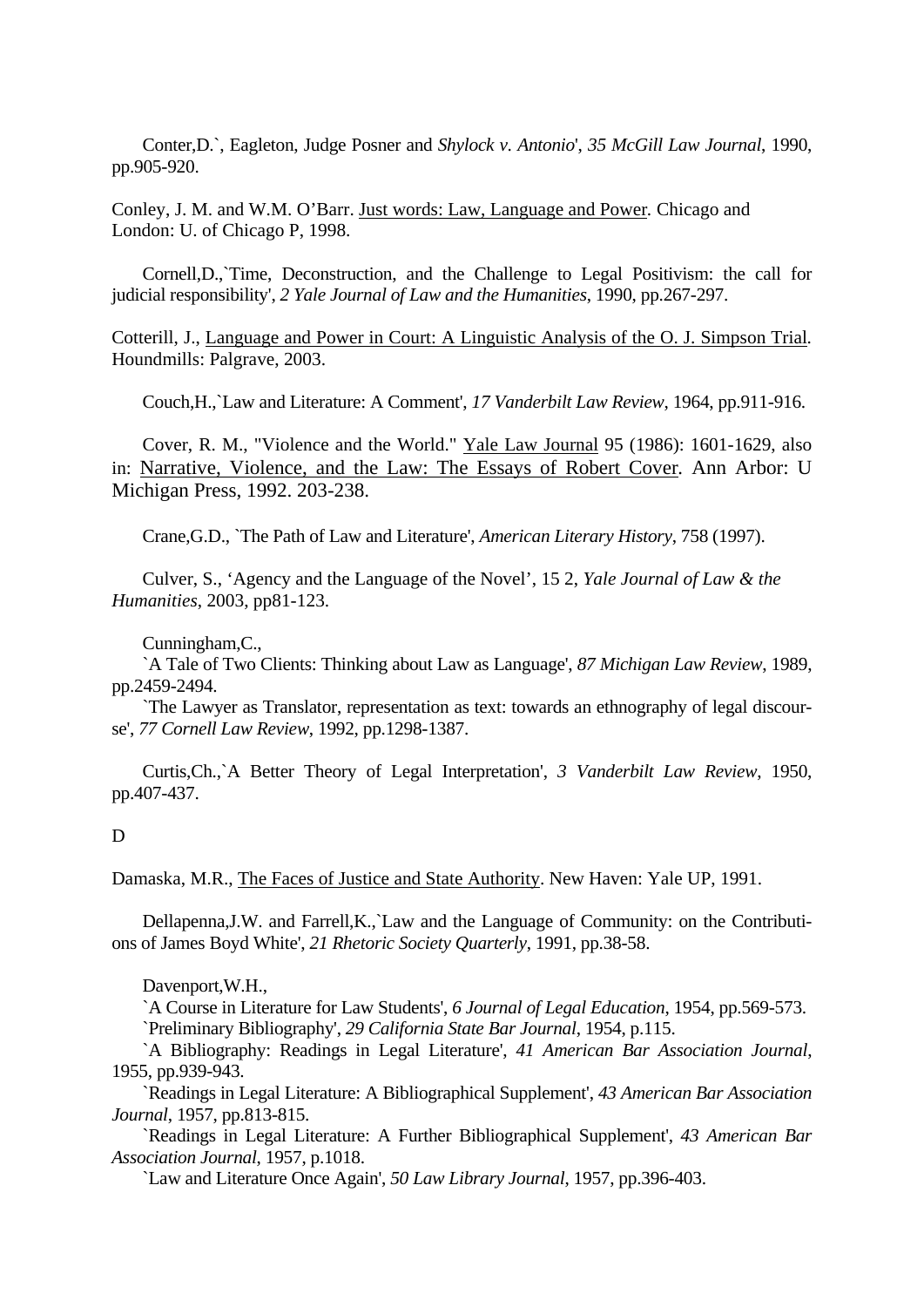Conter,D.`, Eagleton, Judge Posner and *Shylock v. Antonio*', *35 McGill Law Journal*, 1990, pp.905-920.

Conley, J. M. and W.M. O'Barr. Just words: Law, Language and Power*.* Chicago and London: U. of Chicago P, 1998.

Cornell,D.,`Time, Deconstruction, and the Challenge to Legal Positivism: the call for judicial responsibility', *2 Yale Journal of Law and the Humanities*, 1990, pp.267-297.

Cotterill, J., Language and Power in Court: A Linguistic Analysis of the O. J. Simpson Trial*.* Houndmills: Palgrave, 2003.

Couch,H.,`Law and Literature: A Comment', *17 Vanderbilt Law Review*, 1964, pp.911-916.

Cover, R. M., "Violence and the World." Yale Law Journal 95 (1986): 1601-1629, also in: Narrative, Violence, and the Law: The Essays of Robert Cover*.* Ann Arbor: U Michigan Press, 1992. 203-238.

Crane,G.D., `The Path of Law and Literature', *American Literary History*, 758 (1997).

Culver, S., 'Agency and the Language of the Novel', 15 2, *Yale Journal of Law & the Humanities*, 2003, pp81-123.

Cunningham,C.,

`A Tale of Two Clients: Thinking about Law as Language', *87 Michigan Law Review*, 1989, pp.2459-2494.

`The Lawyer as Translator, representation as text: towards an ethnography of legal discourse', *77 Cornell Law Review*, 1992, pp.1298-1387.

Curtis,Ch.,`A Better Theory of Legal Interpretation', *3 Vanderbilt Law Review*, 1950, pp.407-437.

#### D

Damaska, M.R., The Faces of Justice and State Authority. New Haven: Yale UP, 1991.

Dellapenna,J.W. and Farrell,K.,`Law and the Language of Community: on the Contributions of James Boyd White', *21 Rhetoric Society Quarterly*, 1991, pp.38-58.

### Davenport,W.H.,

`A Course in Literature for Law Students', *6 Journal of Legal Education*, 1954, pp.569-573. `Preliminary Bibliography', *29 California State Bar Journal*, 1954, p.115.

`A Bibliography: Readings in Legal Literature', *41 American Bar Association Journal*, 1955, pp.939-943.

`Readings in Legal Literature: A Bibliographical Supplement', *43 American Bar Association Journal*, 1957, pp.813-815.

`Readings in Legal Literature: A Further Bibliographical Supplement', *43 American Bar Association Journal*, 1957, p.1018.

`Law and Literature Once Again', *50 Law Library Journal*, 1957, pp.396-403.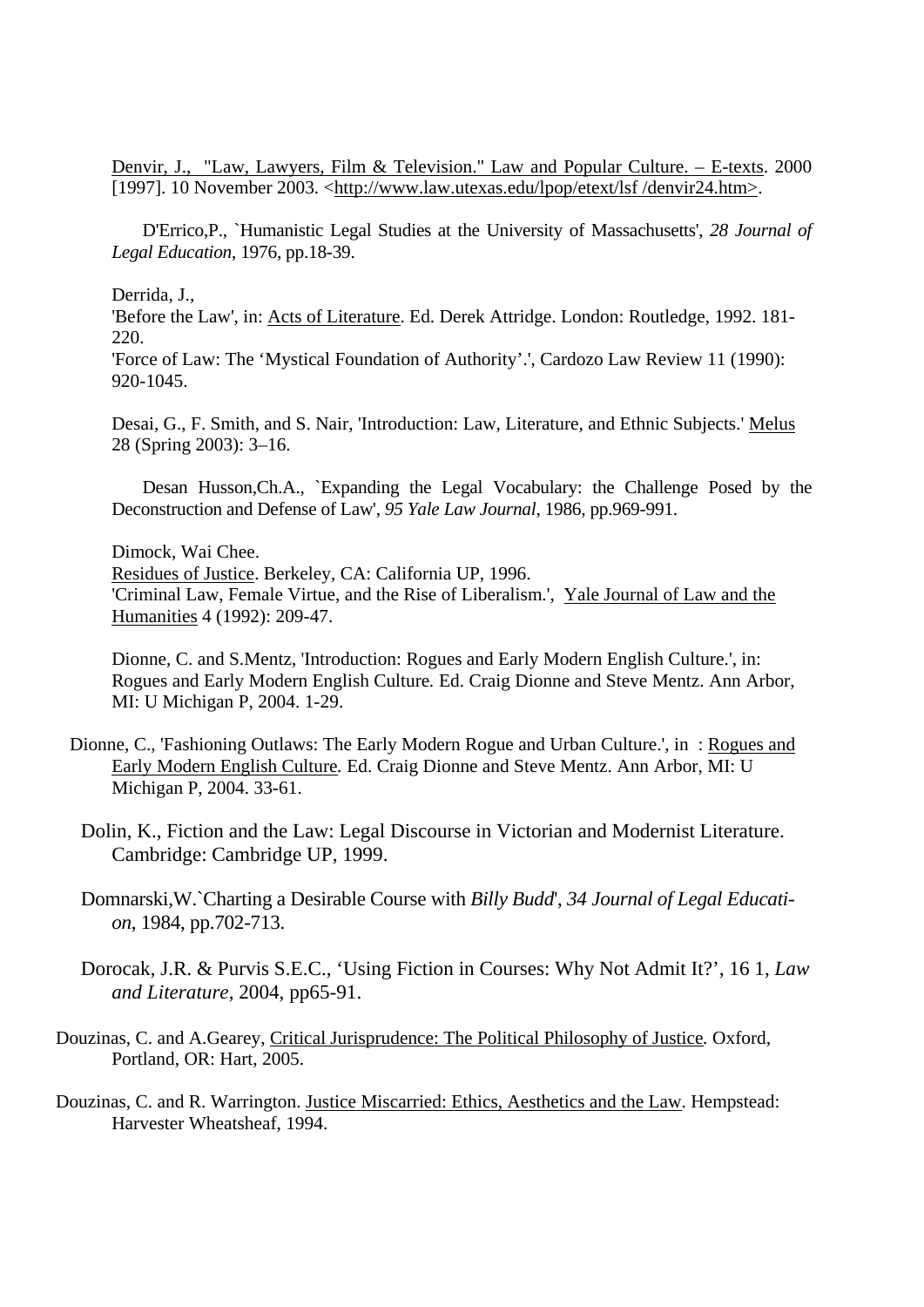Denvir, J., "Law, Lawyers, Film & Television." Law and Popular Culture. – E-texts. 2000 [1997]. 10 November 2003. <http://www.law.utexas.edu/lpop/etext/lsf /denvir24.htm>.

D'Errico,P., `Humanistic Legal Studies at the University of Massachusetts', *28 Journal of Legal Education*, 1976, pp.18-39.

Derrida, J.,

'Before the Law', in: Acts of Literature. Ed. Derek Attridge. London: Routledge, 1992. 181- 220.

'Force of Law: The 'Mystical Foundation of Authority'.', Cardozo Law Review 11 (1990): 920-1045.

Desai, G., F. Smith, and S. Nair, 'Introduction: Law, Literature, and Ethnic Subjects.' Melus 28 (Spring 2003): 3–16.

Desan Husson,Ch.A., `Expanding the Legal Vocabulary: the Challenge Posed by the Deconstruction and Defense of Law', *95 Yale Law Journal*, 1986, pp.969-991.

Dimock, Wai Chee.

Residues of Justice. Berkeley, CA: California UP, 1996. 'Criminal Law, Female Virtue, and the Rise of Liberalism.', Yale Journal of Law and the Humanities 4 (1992): 209-47.

Dionne, C. and S.Mentz, 'Introduction: Rogues and Early Modern English Culture.', in: Rogues and Early Modern English Culture*.* Ed. Craig Dionne and Steve Mentz. Ann Arbor, MI: U Michigan P, 2004. 1-29.

- Dionne, C., 'Fashioning Outlaws: The Early Modern Rogue and Urban Culture.', in : Rogues and Early Modern English Culture*.* Ed. Craig Dionne and Steve Mentz. Ann Arbor, MI: U Michigan P, 2004. 33-61.
	- Dolin, K., Fiction and the Law: Legal Discourse in Victorian and Modernist Literature. Cambridge: Cambridge UP, 1999.

Domnarski,W.`Charting a Desirable Course with *Billy Budd*', *34 Journal of Legal Education*, 1984, pp.702-713.

- Dorocak, J.R. & Purvis S.E.C., 'Using Fiction in Courses: Why Not Admit It?', 16 1, *Law and Literature*, 2004, pp65-91.
- Douzinas, C. and A.Gearey, Critical Jurisprudence: The Political Philosophy of Justice*.* Oxford, Portland, OR: Hart, 2005.
- Douzinas, C. and R. Warrington. Justice Miscarried: Ethics, Aesthetics and the Law. Hempstead: Harvester Wheatsheaf, 1994.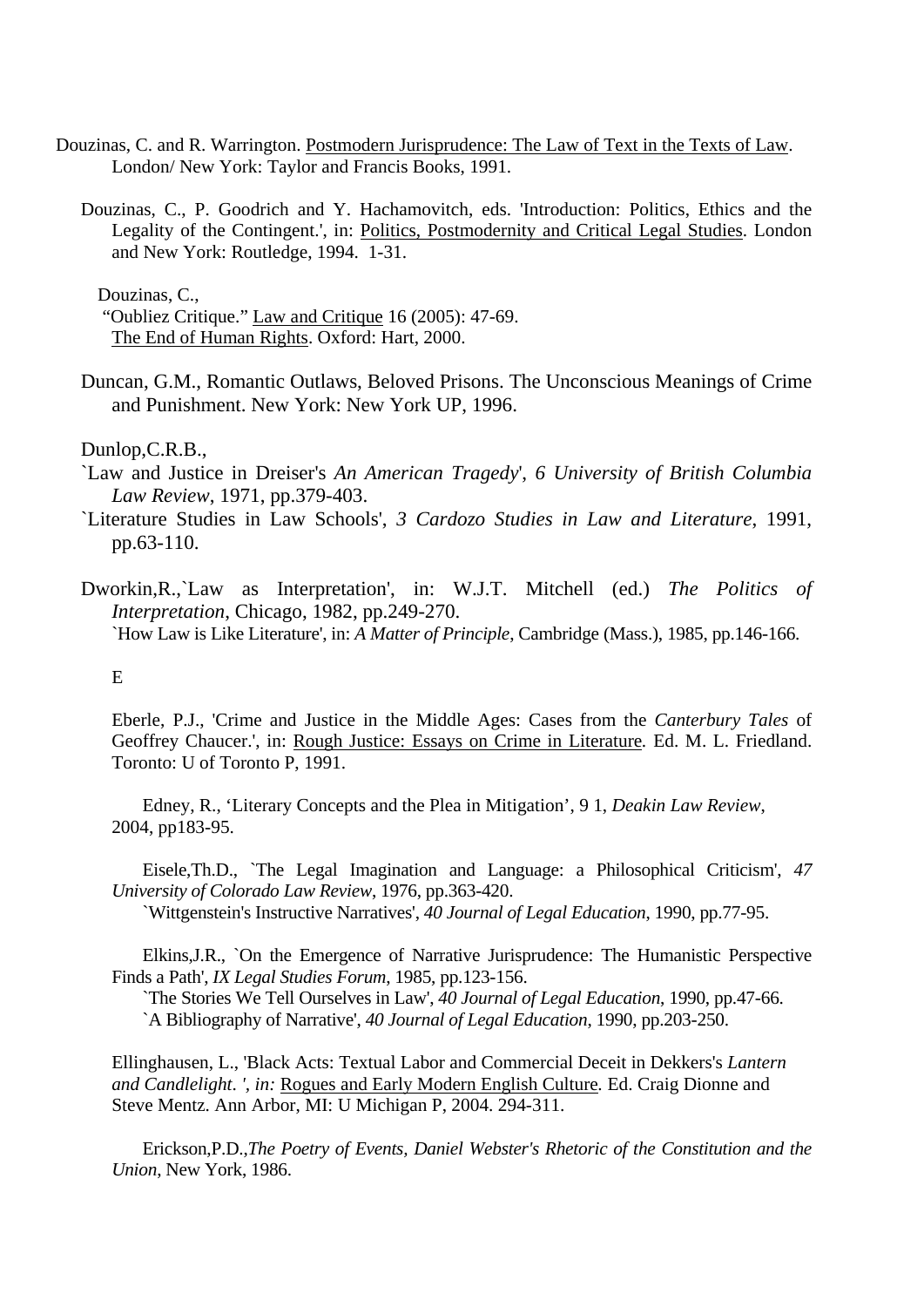- Douzinas, C. and R. Warrington. Postmodern Jurisprudence: The Law of Text in the Texts of Law. London/ New York: Taylor and Francis Books, 1991.
	- Douzinas, C., P. Goodrich and Y. Hachamovitch, eds. 'Introduction: Politics, Ethics and the Legality of the Contingent.', in: Politics, Postmodernity and Critical Legal Studies. London and New York: Routledge, 1994. 1-31.

Douzinas, C.,

"Oubliez Critique." Law and Critique 16 (2005): 47-69. The End of Human Rights. Oxford: Hart, 2000.

Duncan, G.M., Romantic Outlaws, Beloved Prisons. The Unconscious Meanings of Crime and Punishment. New York: New York UP, 1996.

Dunlop,C.R.B.,

- `Law and Justice in Dreiser's *An American Tragedy*', *6 University of British Columbia Law Review*, 1971, pp.379-403.
- `Literature Studies in Law Schools', *3 Cardozo Studies in Law and Literature*, 1991, pp.63-110.
- Dworkin,R.,`Law as Interpretation', in: W.J.T. Mitchell (ed.) *The Politics of Interpretation*, Chicago, 1982, pp.249-270. `How Law is Like Literature', in: *A Matter of Principle*, Cambridge (Mass.), 1985, pp.146-166.

# $E$

Eberle, P.J., 'Crime and Justice in the Middle Ages: Cases from the *Canterbury Tales* of Geoffrey Chaucer.', in: Rough Justice: Essays on Crime in Literature*.* Ed. M. L. Friedland. Toronto: U of Toronto P, 1991.

Edney, R., 'Literary Concepts and the Plea in Mitigation', 9 1, *Deakin Law Review*, 2004, pp183-95.

Eisele,Th.D., `The Legal Imagination and Language: a Philosophical Criticism', *47 University of Colorado Law Review*, 1976, pp.363-420.

`Wittgenstein's Instructive Narratives', *40 Journal of Legal Education*, 1990, pp.77-95.

Elkins,J.R., `On the Emergence of Narrative Jurisprudence: The Humanistic Perspective Finds a Path', *IX Legal Studies Forum*, 1985, pp.123-156.

`The Stories We Tell Ourselves in Law', *40 Journal of Legal Education*, 1990, pp.47-66. `A Bibliography of Narrative', *40 Journal of Legal Education*, 1990, pp.203-250.

Ellinghausen, L., 'Black Acts: Textual Labor and Commercial Deceit in Dekkers's *Lantern and Candlelight*. *', in:* Rogues and Early Modern English Culture*.* Ed. Craig Dionne and Steve Mentz. Ann Arbor, MI: U Michigan P, 2004. 294-311.

Erickson,P.D.,*The Poetry of Events, Daniel Webster's Rhetoric of the Constitution and the Union*, New York, 1986.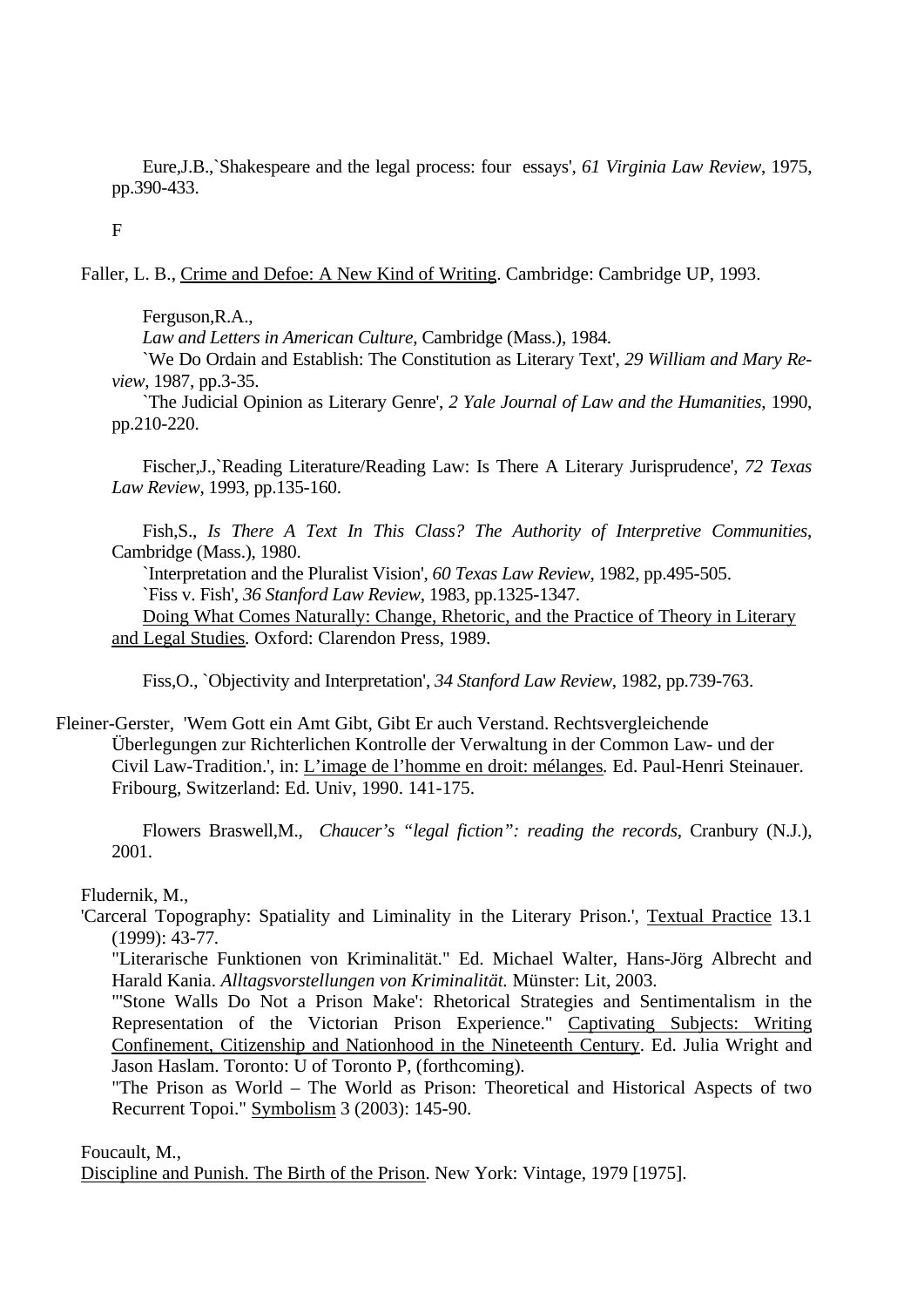Eure,J.B.,`Shakespeare and the legal process: four essays', *61 Virginia Law Review*, 1975, pp.390-433.

F

Faller, L. B., Crime and Defoe: A New Kind of Writing. Cambridge: Cambridge UP, 1993.

Ferguson,R.A.,

*Law and Letters in American Culture*, Cambridge (Mass.), 1984.

`We Do Ordain and Establish: The Constitution as Literary Text', *29 William and Mary Review*, 1987, pp.3-35.

`The Judicial Opinion as Literary Genre', *2 Yale Journal of Law and the Humanities*, 1990, pp.210-220.

Fischer,J.,`Reading Literature/Reading Law: Is There A Literary Jurisprudence', *72 Texas Law Review*, 1993, pp.135-160.

Fish,S., *Is There A Text In This Class? The Authority of Interpretive Communities*, Cambridge (Mass.), 1980.

`Interpretation and the Pluralist Vision', *60 Texas Law Review*, 1982, pp.495-505. `Fiss v. Fish', *36 Stanford Law Review*, 1983, pp.1325-1347.

Doing What Comes Naturally: Change, Rhetoric, and the Practice of Theory in Literary and Legal Studies*.* Oxford: Clarendon Press, 1989.

Fiss,O., `Objectivity and Interpretation', *34 Stanford Law Review*, 1982, pp.739-763.

Fleiner-Gerster, 'Wem Gott ein Amt Gibt, Gibt Er auch Verstand. Rechtsvergleichende Überlegungen zur Richterlichen Kontrolle der Verwaltung in der Common Law- und der Civil Law-Tradition.', in: L'image de l'homme en droit: mélanges*.* Ed. Paul-Henri Steinauer. Fribourg, Switzerland: Ed. Univ, 1990. 141-175.

Flowers Braswell,M., *Chaucer's "legal fiction": reading the records*, Cranbury (N.J.), 2001.

Fludernik, M.,

'Carceral Topography: Spatiality and Liminality in the Literary Prison.', Textual Practice 13.1 (1999): 43-77*.*

"Literarische Funktionen von Kriminalität." Ed. Michael Walter, Hans-Jörg Albrecht and Harald Kania. *Alltagsvorstellungen von Kriminalität.* Münster: Lit, 2003.

"'Stone Walls Do Not a Prison Make': Rhetorical Strategies and Sentimentalism in the Representation of the Victorian Prison Experience." Captivating Subjects: Writing Confinement, Citizenship and Nationhood in the Nineteenth Century. Ed. Julia Wright and Jason Haslam. Toronto: U of Toronto P, (forthcoming)*.*

"The Prison as World – The World as Prison: Theoretical and Historical Aspects of two Recurrent Topoi." Symbolism 3 (2003): 145-90.

Foucault, M.,

Discipline and Punish. The Birth of the Prison. New York: Vintage, 1979 [1975].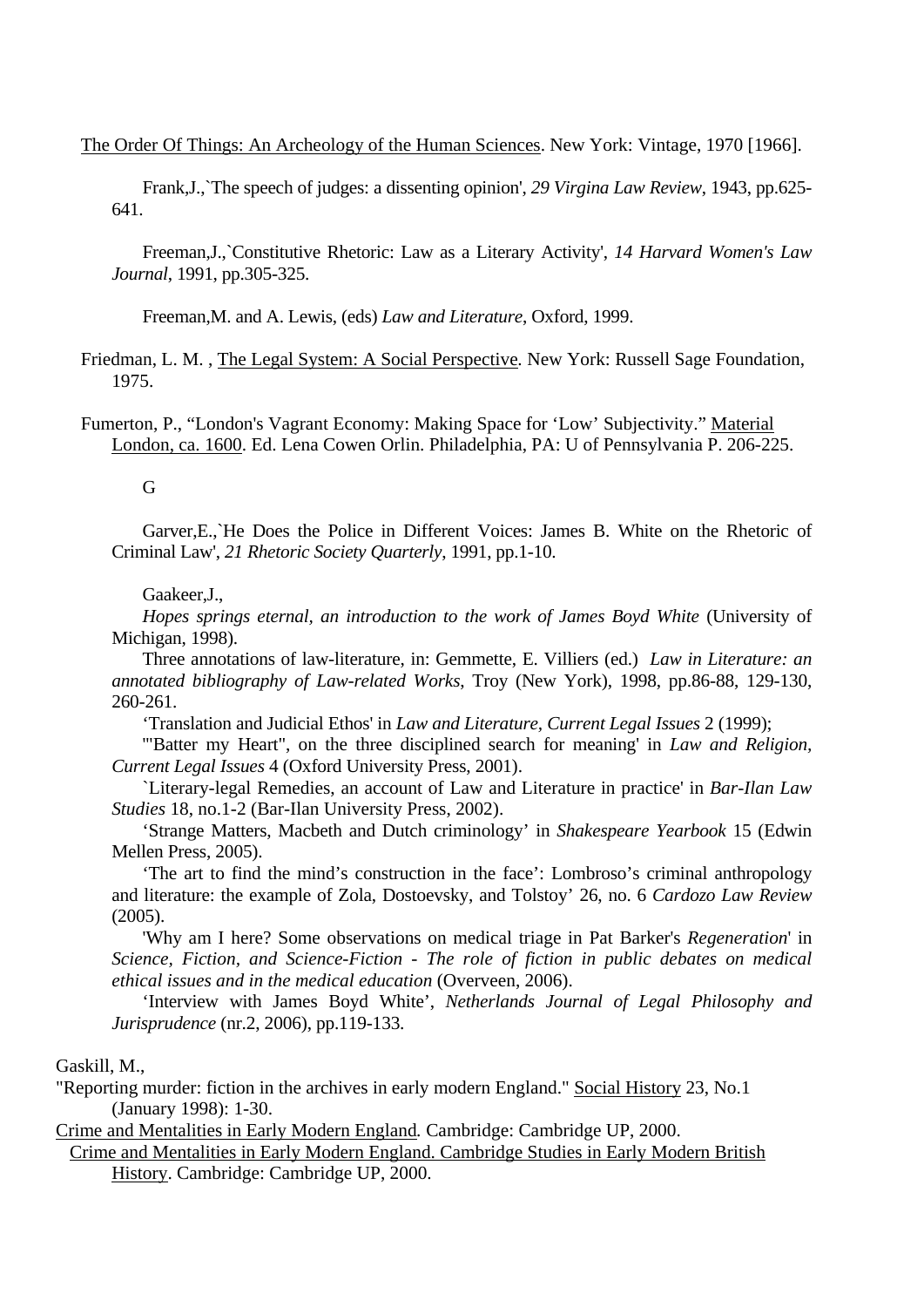The Order Of Things: An Archeology of the Human Sciences. New York: Vintage, 1970 [1966].

Frank,J.,`The speech of judges: a dissenting opinion', *29 Virgina Law Review*, 1943, pp.625- 641.

Freeman,J.,`Constitutive Rhetoric: Law as a Literary Activity', *14 Harvard Women's Law Journal*, 1991, pp.305-325.

Freeman,M. and A. Lewis, (eds) *Law and Literature*, Oxford, 1999.

Friedman, L. M. , The Legal System: A Social Perspective*.* New York: Russell Sage Foundation, 1975.

Fumerton, P., "London's Vagrant Economy: Making Space for 'Low' Subjectivity." Material London, ca. 1600. Ed. Lena Cowen Orlin. Philadelphia, PA: U of Pennsylvania P. 206-225.

G

Garver,E.,`He Does the Police in Different Voices: James B. White on the Rhetoric of Criminal Law', *21 Rhetoric Society Quarterly*, 1991, pp.1-10.

#### Gaakeer,J.,

*Hopes springs eternal, an introduction to the work of James Boyd White* (University of Michigan, 1998).

Three annotations of law-literature, in: Gemmette, E. Villiers (ed.) *Law in Literature: an annotated bibliography of Law-related Works*, Troy (New York), 1998, pp.86-88, 129-130, 260-261.

'Translation and Judicial Ethos' in *Law and Literature, Current Legal Issues* 2 (1999);

'"Batter my Heart", on the three disciplined search for meaning' in *Law and Religion, Current Legal Issues* 4 (Oxford University Press, 2001).

`Literary-legal Remedies, an account of Law and Literature in practice' in *Bar-Ilan Law Studies* 18, no.1-2 (Bar-Ilan University Press, 2002).

'Strange Matters, Macbeth and Dutch criminology' in *Shakespeare Yearbook* 15 (Edwin Mellen Press, 2005).

'The art to find the mind's construction in the face': Lombroso's criminal anthropology and literature: the example of Zola, Dostoevsky, and Tolstoy' 26, no. 6 *Cardozo Law Review* (2005).

'Why am I here? Some observations on medical triage in Pat Barker's *Regeneration*' in *Science, Fiction, and Science-Fiction - The role of fiction in public debates on medical ethical issues and in the medical education* (Overveen, 2006).

'Interview with James Boyd White', *Netherlands Journal of Legal Philosophy and Jurisprudence* (nr.2, 2006), pp.119-133.

Gaskill, M.,

"Reporting murder: fiction in the archives in early modern England." Social History 23, No.1 (January 1998): 1-30.

Crime and Mentalities in Early Modern England*.* Cambridge: Cambridge UP, 2000.

Crime and Mentalities in Early Modern England. Cambridge Studies in Early Modern British History. Cambridge: Cambridge UP, 2000.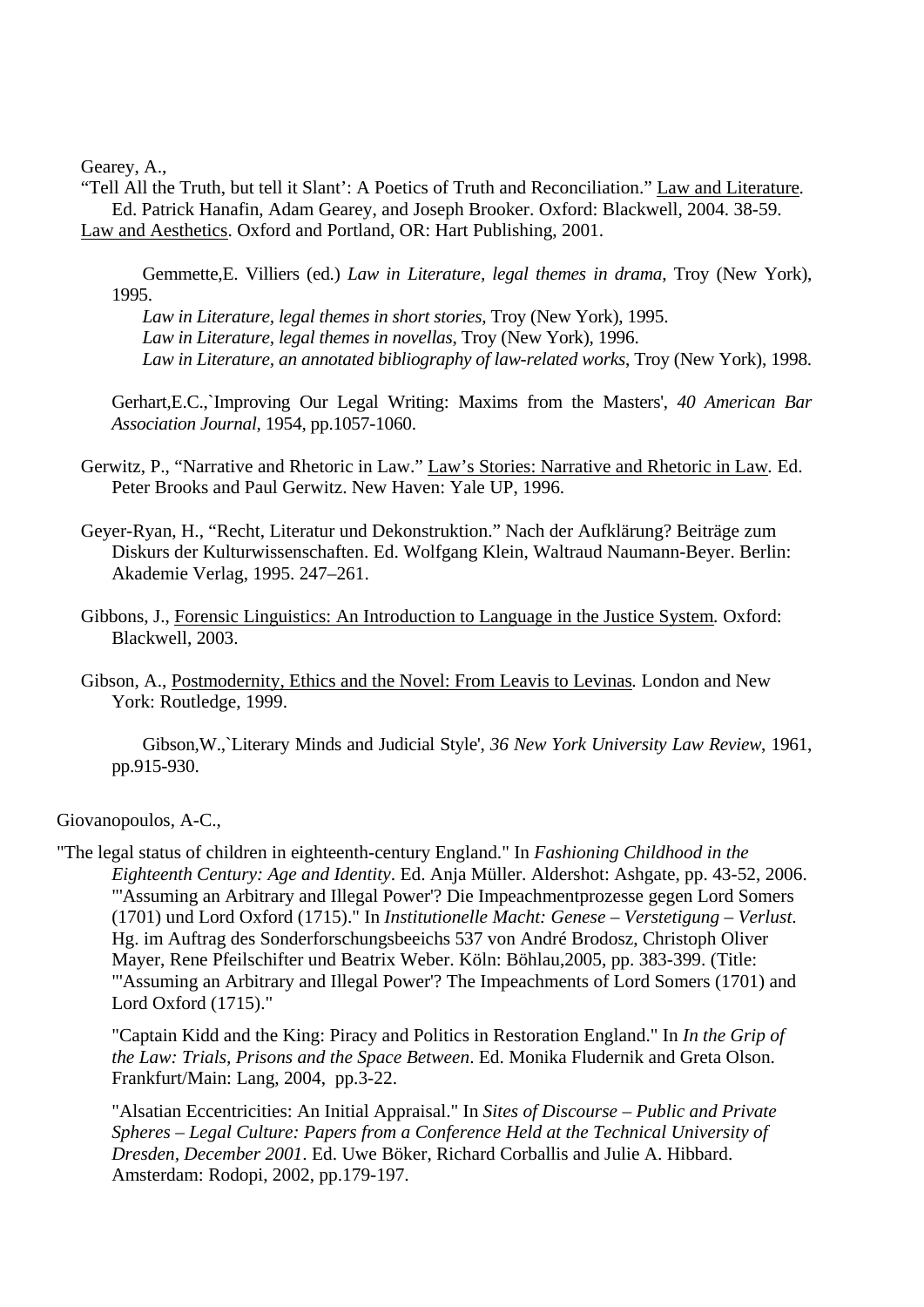Gearey, A.,

"Tell All the Truth, but tell it Slant': A Poetics of Truth and Reconciliation." Law and Literature*.*  Ed. Patrick Hanafin, Adam Gearey, and Joseph Brooker. Oxford: Blackwell, 2004. 38-59. Law and Aesthetics. Oxford and Portland, OR: Hart Publishing, 2001.

Gemmette,E. Villiers (ed.) *Law in Literature, legal themes in drama*, Troy (New York), 1995.

*Law in Literature, legal themes in short stories*, Troy (New York), 1995. *Law in Literature, legal themes in novellas*, Troy (New York), 1996. *Law in Literature, an annotated bibliography of law-related works*, Troy (New York), 1998.

Gerhart,E.C.,`Improving Our Legal Writing: Maxims from the Masters', *40 American Bar Association Journal*, 1954, pp.1057-1060.

Gerwitz, P., "Narrative and Rhetoric in Law." Law's Stories: Narrative and Rhetoric in Law*.* Ed. Peter Brooks and Paul Gerwitz. New Haven: Yale UP, 1996.

Geyer-Ryan, H., "Recht, Literatur und Dekonstruktion." Nach der Aufklärung? Beiträge zum Diskurs der Kulturwissenschaften. Ed. Wolfgang Klein, Waltraud Naumann-Beyer. Berlin: Akademie Verlag, 1995. 247–261.

- Gibbons, J., Forensic Linguistics: An Introduction to Language in the Justice System*.* Oxford: Blackwell, 2003.
- Gibson, A., Postmodernity, Ethics and the Novel: From Leavis to Levinas*.* London and New York: Routledge, 1999.

Gibson,W.,`Literary Minds and Judicial Style', *36 New York University Law Review*, 1961, pp.915-930.

Giovanopoulos, A-C.,

"The legal status of children in eighteenth-century England." In *Fashioning Childhood in the Eighteenth Century: Age and Identity*. Ed. Anja Müller. Aldershot: Ashgate, pp. 43-52, 2006. "'Assuming an Arbitrary and Illegal Power'? Die Impeachmentprozesse gegen Lord Somers (1701) und Lord Oxford (1715)." In *Institutionelle Macht: Genese – Verstetigung – Verlust*. Hg. im Auftrag des Sonderforschungsbeeichs 537 von André Brodosz, Christoph Oliver Mayer, Rene Pfeilschifter und Beatrix Weber. Köln: Böhlau,2005, pp. 383-399. (Title: "'Assuming an Arbitrary and Illegal Power'? The Impeachments of Lord Somers (1701) and Lord Oxford (1715)."

"Captain Kidd and the King: Piracy and Politics in Restoration England." In *In the Grip of the Law: Trials, Prisons and the Space Between*. Ed. Monika Fludernik and Greta Olson. Frankfurt/Main: Lang, 2004, pp.3-22.

"Alsatian Eccentricities: An Initial Appraisal." In *Sites of Discourse – Public and Private Spheres – Legal Culture: Papers from a Conference Held at the Technical University of Dresden, December 2001*. Ed. Uwe Böker, Richard Corballis and Julie A. Hibbard. Amsterdam: Rodopi, 2002, pp.179-197.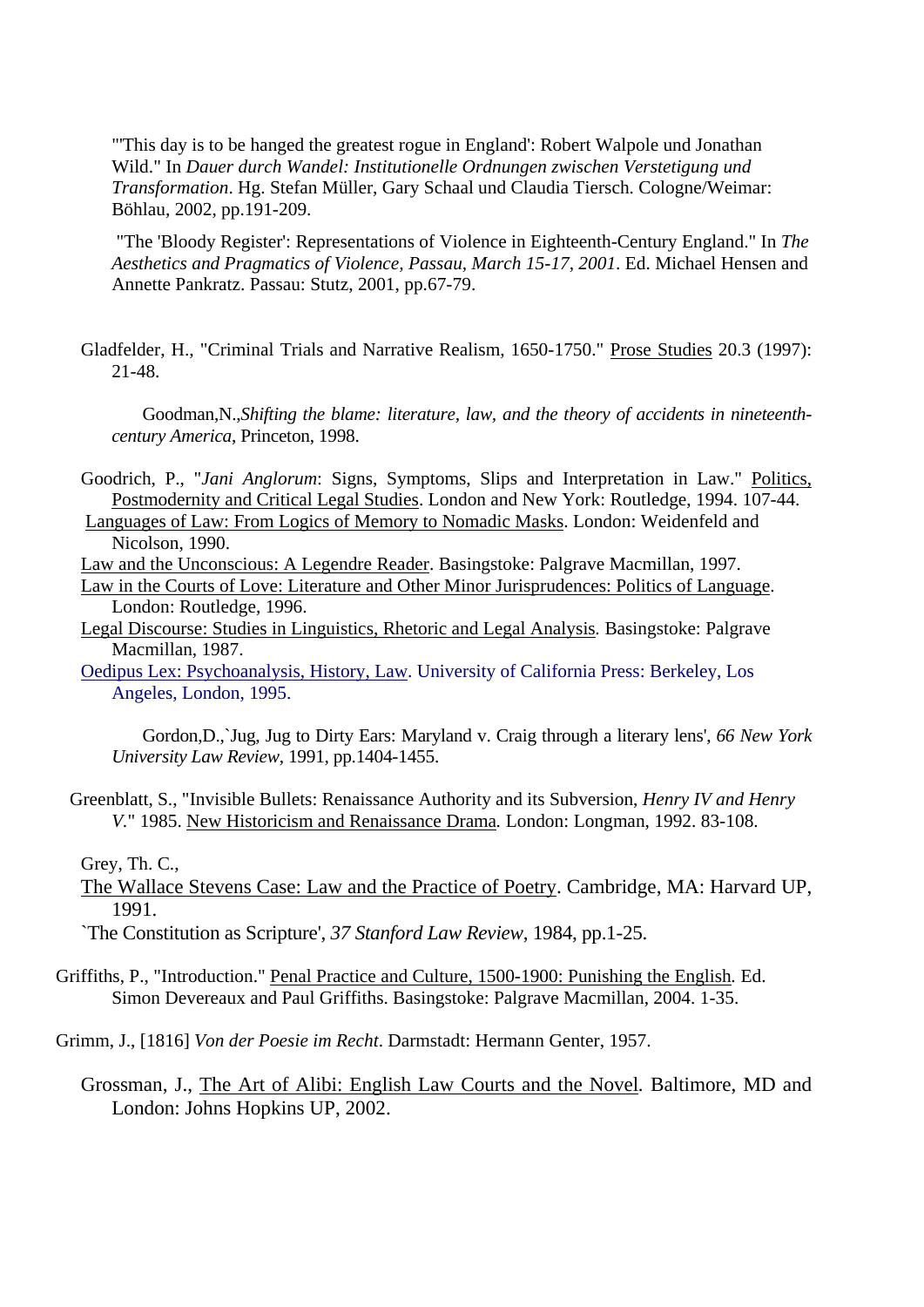"'This day is to be hanged the greatest rogue in England': Robert Walpole und Jonathan Wild." In *Dauer durch Wandel: Institutionelle Ordnungen zwischen Verstetigung und Transformation*. Hg. Stefan Müller, Gary Schaal und Claudia Tiersch. Cologne/Weimar: Böhlau, 2002, pp.191-209.

"The 'Bloody Register': Representations of Violence in Eighteenth-Century England." In *The Aesthetics and Pragmatics of Violence, Passau, March 15-17, 2001*. Ed. Michael Hensen and Annette Pankratz. Passau: Stutz, 2001, pp.67-79.

Gladfelder, H., "Criminal Trials and Narrative Realism, 1650-1750." Prose Studies 20.3 (1997): 21-48.

Goodman,N.,*Shifting the blame: literature, law, and the theory of accidents in nineteenthcentury America*, Princeton, 1998.

- Goodrich, P., "*Jani Anglorum*: Signs, Symptoms, Slips and Interpretation in Law." Politics, Postmodernity and Critical Legal Studies. London and New York: Routledge, 1994. 107-44.
- Languages of Law: From Logics of Memory to Nomadic Masks. London: Weidenfeld and Nicolson, 1990.
- Law and the Unconscious: A Legendre Reader. Basingstoke: Palgrave Macmillan, 1997.
- Law in the Courts of Love: Literature and Other Minor Jurisprudences: Politics of Language. London: Routledge, 1996.
- Legal Discourse: Studies in Linguistics, Rhetoric and Legal Analysis*.* Basingstoke: Palgrave Macmillan, 1987.
- Oedipus Lex: Psychoanalysis, History, Law. University of California Press: Berkeley, Los Angeles, London, 1995.

Gordon,D.,`Jug, Jug to Dirty Ears: Maryland v. Craig through a literary lens', *66 New York University Law Review*, 1991, pp.1404-1455.

Greenblatt, S., "Invisible Bullets: Renaissance Authority and its Subversion, *Henry IV and Henry V.*" 1985. New Historicism and Renaissance Drama*.* London: Longman, 1992. 83-108.

Grey, Th. C.,

The Wallace Stevens Case: Law and the Practice of Poetry. Cambridge, MA: Harvard UP, 1991.

`The Constitution as Scripture', *37 Stanford Law Review*, 1984, pp.1-25.

- Griffiths, P., "Introduction." Penal Practice and Culture, 1500-1900: Punishing the English*.* Ed. Simon Devereaux and Paul Griffiths. Basingstoke: Palgrave Macmillan, 2004. 1-35.
- Grimm, J., [1816] *Von der Poesie im Recht*. Darmstadt: Hermann Genter, 1957.
	- Grossman, J., The Art of Alibi: English Law Courts and the Novel*.* Baltimore, MD and London: Johns Hopkins UP, 2002.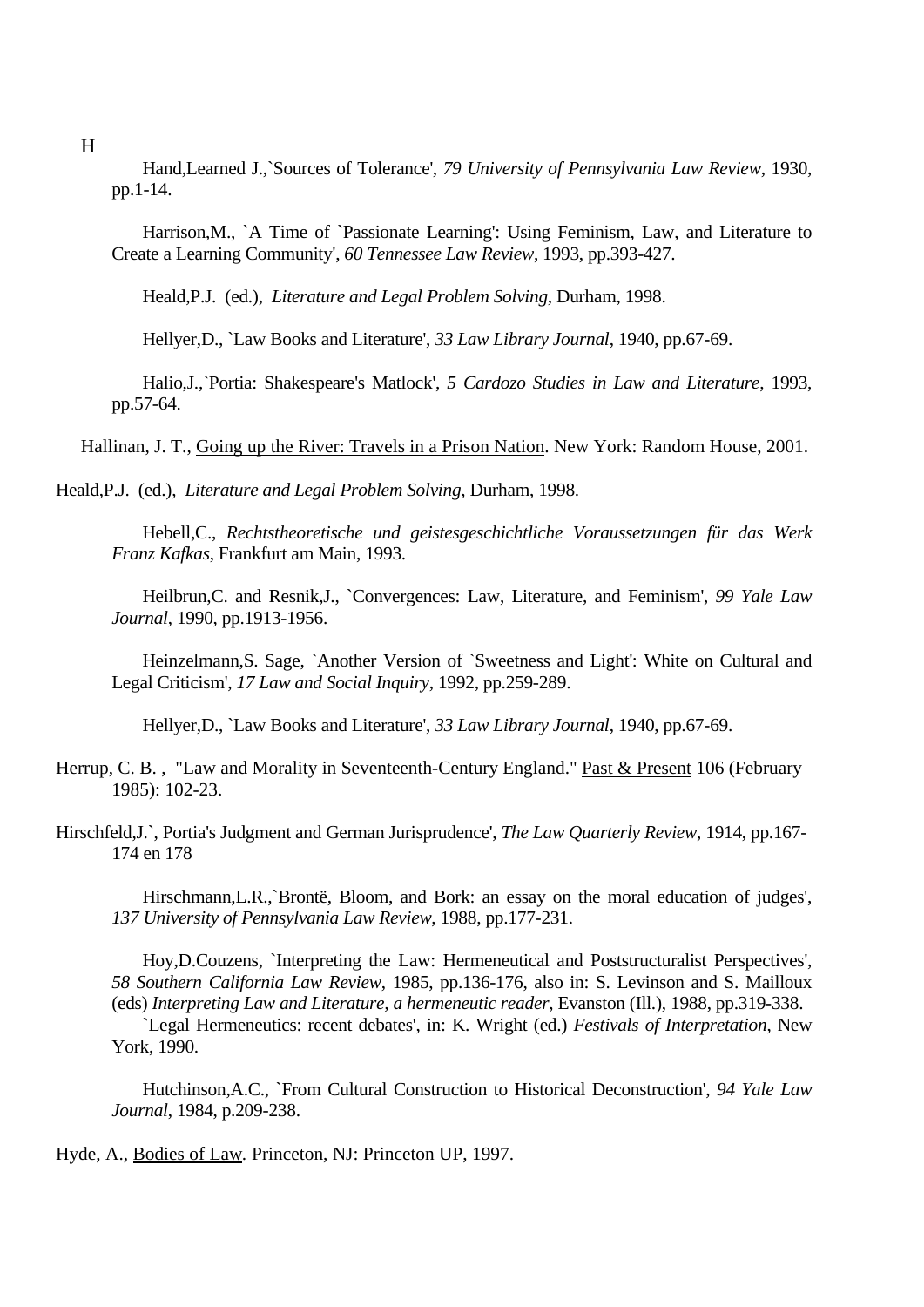H

Hand,Learned J.,`Sources of Tolerance', *79 University of Pennsylvania Law Review*, 1930, pp.1-14.

Harrison,M., `A Time of `Passionate Learning': Using Feminism, Law, and Literature to Create a Learning Community', *60 Tennessee Law Review*, 1993, pp.393-427.

Heald,P.J. (ed.), *Literature and Legal Problem Solving*, Durham, 1998.

Hellyer,D., `Law Books and Literature', *33 Law Library Journal*, 1940, pp.67-69.

Halio,J.,`Portia: Shakespeare's Matlock', *5 Cardozo Studies in Law and Literature*, 1993, pp.57-64.

Hallinan, J. T., Going up the River: Travels in a Prison Nation. New York: Random House, 2001.

Heald,P.J. (ed.), *Literature and Legal Problem Solving*, Durham, 1998.

Hebell,C., *Rechtstheoretische und geistesgeschichtliche Voraussetzungen für das Werk Franz Kafkas*, Frankfurt am Main, 1993.

Heilbrun,C. and Resnik,J., `Convergences: Law, Literature, and Feminism', *99 Yale Law Journal*, 1990, pp.1913-1956.

Heinzelmann,S. Sage, `Another Version of `Sweetness and Light': White on Cultural and Legal Criticism', *17 Law and Social Inquiry*, 1992, pp.259-289.

Hellyer,D., `Law Books and Literature', *33 Law Library Journal*, 1940, pp.67-69.

- Herrup, C. B., "Law and Morality in Seventeenth-Century England." Past & Present 106 (February 1985): 102-23.
- Hirschfeld,J.`, Portia's Judgment and German Jurisprudence', *The Law Quarterly Review*, 1914, pp.167- 174 en 178

Hirschmann,L.R.,`Brontë, Bloom, and Bork: an essay on the moral education of judges', *137 University of Pennsylvania Law Review*, 1988, pp.177-231.

Hoy,D.Couzens, `Interpreting the Law: Hermeneutical and Poststructuralist Perspectives', *58 Southern California Law Review*, 1985, pp.136-176, also in: S. Levinson and S. Mailloux (eds) *Interpreting Law and Literature, a hermeneutic reader*, Evanston (Ill.), 1988, pp.319-338.

`Legal Hermeneutics: recent debates', in: K. Wright (ed.) *Festivals of Interpretation*, New York, 1990.

Hutchinson,A.C., `From Cultural Construction to Historical Deconstruction', *94 Yale Law Journal*, 1984, p.209-238.

Hyde, A., Bodies of Law*.* Princeton, NJ: Princeton UP, 1997.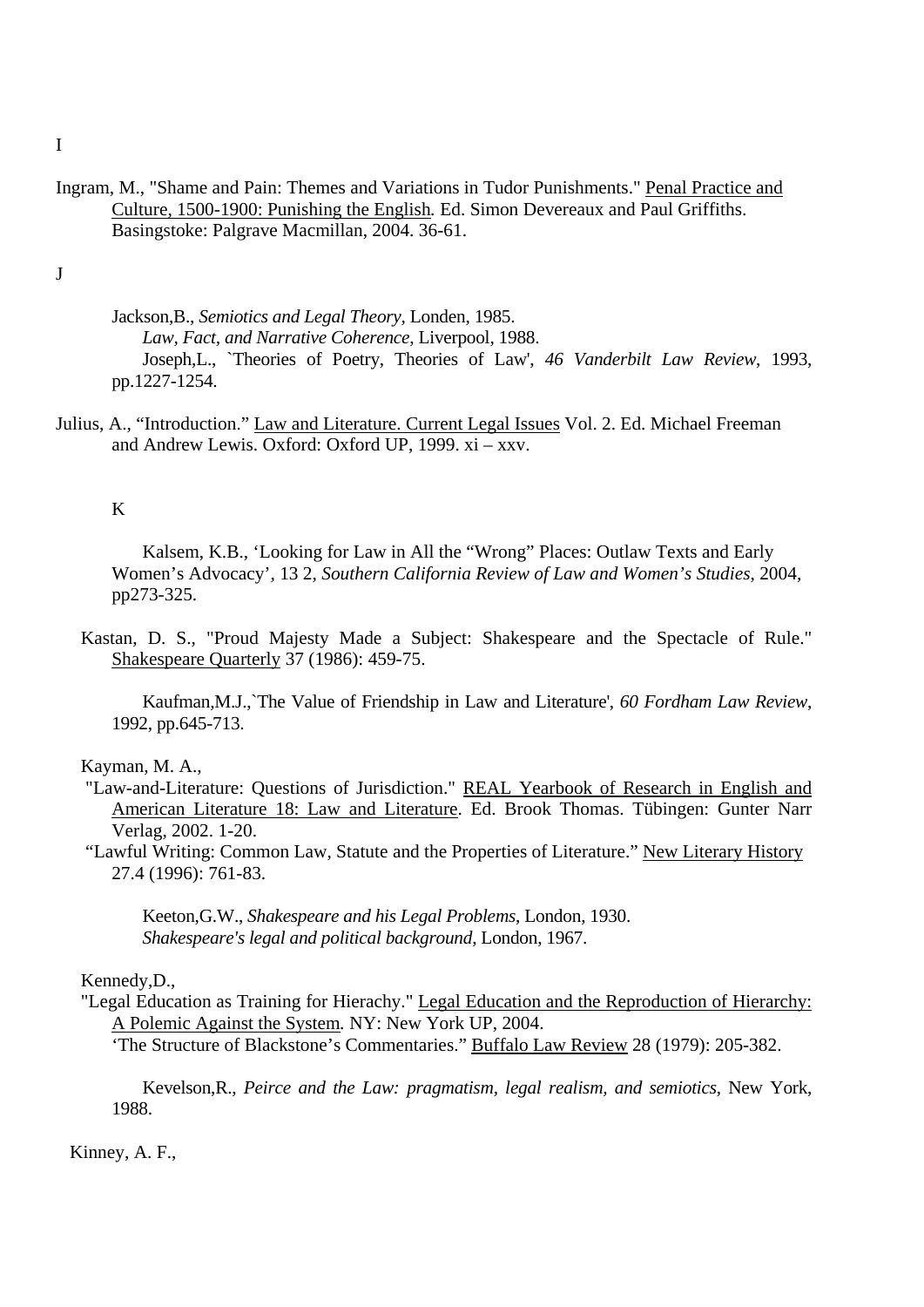Ingram, M., "Shame and Pain: Themes and Variations in Tudor Punishments." Penal Practice and Culture, 1500-1900: Punishing the English*.* Ed. Simon Devereaux and Paul Griffiths. Basingstoke: Palgrave Macmillan, 2004. 36-61.

J

Jackson,B., *Semiotics and Legal Theory*, Londen, 1985. *Law, Fact, and Narrative Coherence*, Liverpool, 1988. Joseph,L., `Theories of Poetry, Theories of Law', *46 Vanderbilt Law Review*, 1993, pp.1227-1254.

Julius, A., "Introduction." Law and Literature. Current Legal Issues Vol. 2. Ed. Michael Freeman and Andrew Lewis. Oxford: Oxford UP, 1999. xi – xxv.

## K

Kalsem, K.B., 'Looking for Law in All the "Wrong" Places: Outlaw Texts and Early Women's Advocacy', 13 2, *Southern California Review of Law and Women's Studies*, 2004, pp273-325.

Kastan, D. S., "Proud Majesty Made a Subject: Shakespeare and the Spectacle of Rule." Shakespeare Quarterly 37 (1986): 459-75.

Kaufman,M.J.,`The Value of Friendship in Law and Literature', *60 Fordham Law Review*, 1992, pp.645-713.

Kayman, M. A.,

- "Law-and-Literature: Questions of Jurisdiction." REAL Yearbook of Research in English and American Literature 18: Law and Literature. Ed. Brook Thomas. Tübingen: Gunter Narr Verlag, 2002. 1-20.
- "Lawful Writing: Common Law, Statute and the Properties of Literature." New Literary History 27.4 (1996): 761-83.

Keeton,G.W., *Shakespeare and his Legal Problems*, London, 1930. *Shakespeare's legal and political background*, London, 1967.

# Kennedy,D.,

"Legal Education as Training for Hierachy." Legal Education and the Reproduction of Hierarchy: A Polemic Against the System*.* NY: New York UP, 2004.

'The Structure of Blackstone's Commentaries." Buffalo Law Review 28 (1979): 205-382.

Kevelson,R., *Peirce and the Law: pragmatism, legal realism, and semiotics*, New York, 1988.

Kinney, A. F.,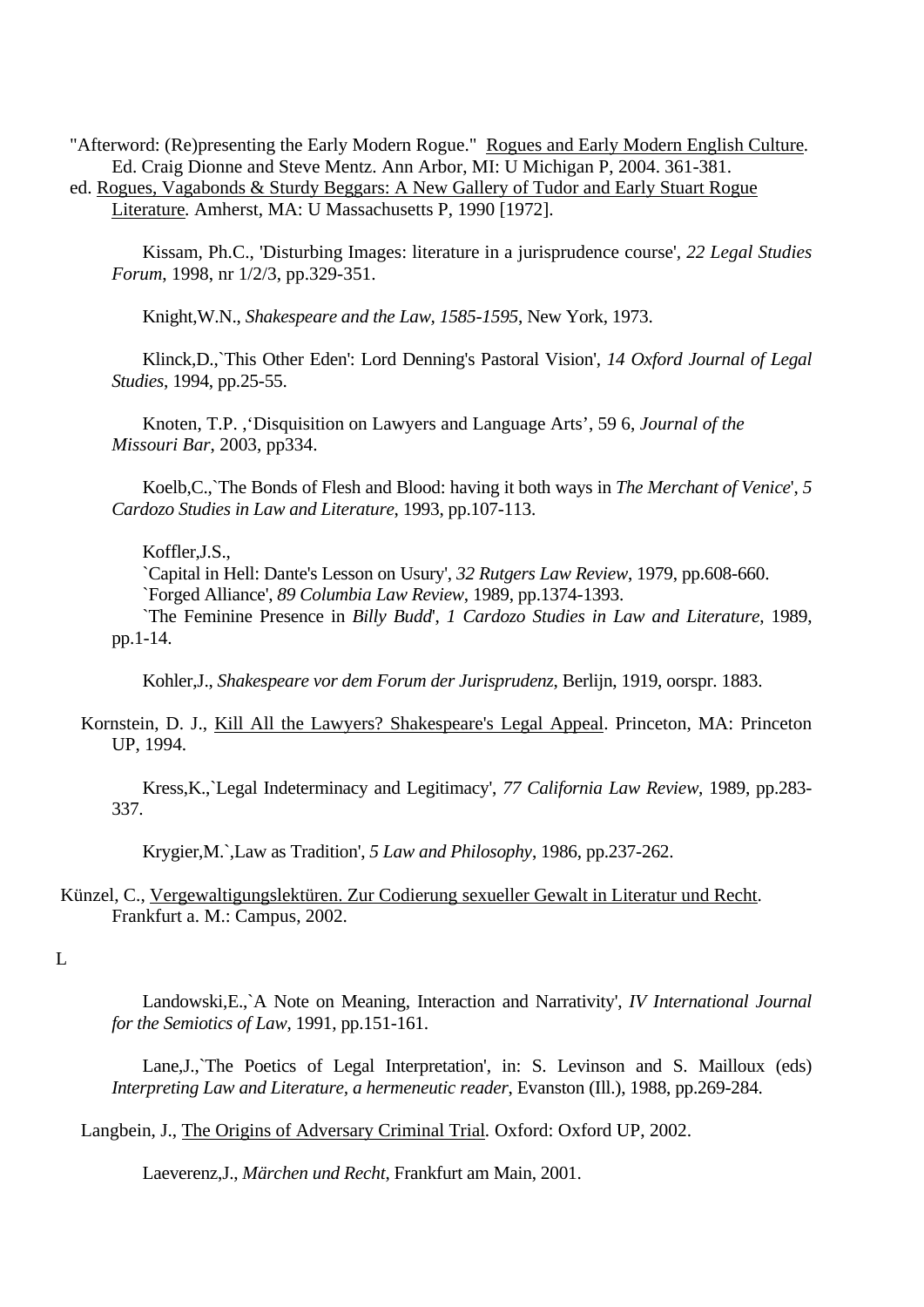"Afterword: (Re)presenting the Early Modern Rogue." Rogues and Early Modern English Culture*.*  Ed. Craig Dionne and Steve Mentz. Ann Arbor, MI: U Michigan P, 2004. 361-381.

ed. Rogues, Vagabonds & Sturdy Beggars: A New Gallery of Tudor and Early Stuart Rogue Literature*.* Amherst, MA: U Massachusetts P, 1990 [1972].

Kissam, Ph.C., 'Disturbing Images: literature in a jurisprudence course'*, 22 Legal Studies Forum*, 1998, nr 1/2/3, pp.329-351.

Knight,W.N., *Shakespeare and the Law, 1585-1595*, New York, 1973.

Klinck,D.,`This Other Eden': Lord Denning's Pastoral Vision', *14 Oxford Journal of Legal Studies*, 1994, pp.25-55.

Knoten, T.P. ,'Disquisition on Lawyers and Language Arts', 59 6, *Journal of the Missouri Bar*, 2003, pp334.

Koelb,C.,`The Bonds of Flesh and Blood: having it both ways in *The Merchant of Venice*', *5 Cardozo Studies in Law and Literature*, 1993, pp.107-113.

#### Koffler,J.S.,

`Capital in Hell: Dante's Lesson on Usury', *32 Rutgers Law Review*, 1979, pp.608-660. `Forged Alliance', *89 Columbia Law Review*, 1989, pp.1374-1393.

`The Feminine Presence in *Billy Budd*', *1 Cardozo Studies in Law and Literature*, 1989, pp.1-14.

Kohler,J., *Shakespeare vor dem Forum der Jurisprudenz*, Berlijn, 1919, oorspr. 1883.

Kornstein, D. J., Kill All the Lawyers? Shakespeare's Legal Appeal. Princeton, MA: Princeton UP, 1994.

Kress,K.,`Legal Indeterminacy and Legitimacy', *77 California Law Review*, 1989, pp.283- 337.

Krygier,M.`,Law as Tradition', *5 Law and Philosophy*, 1986, pp.237-262.

# Künzel, C., Vergewaltigungslektüren. Zur Codierung sexueller Gewalt in Literatur und Recht. Frankfurt a. M.: Campus, 2002.

## $\overline{L}$

Landowski,E.,`A Note on Meaning, Interaction and Narrativity', *IV International Journal for the Semiotics of Law*, 1991, pp.151-161.

Lane, J., The Poetics of Legal Interpretation', in: S. Levinson and S. Mailloux (eds) *Interpreting Law and Literature, a hermeneutic reader*, Evanston (Ill.), 1988, pp.269-284.

Langbein, J., The Origins of Adversary Criminal Trial*.* Oxford: Oxford UP, 2002.

Laeverenz,J., *Märchen und Recht*, Frankfurt am Main, 2001.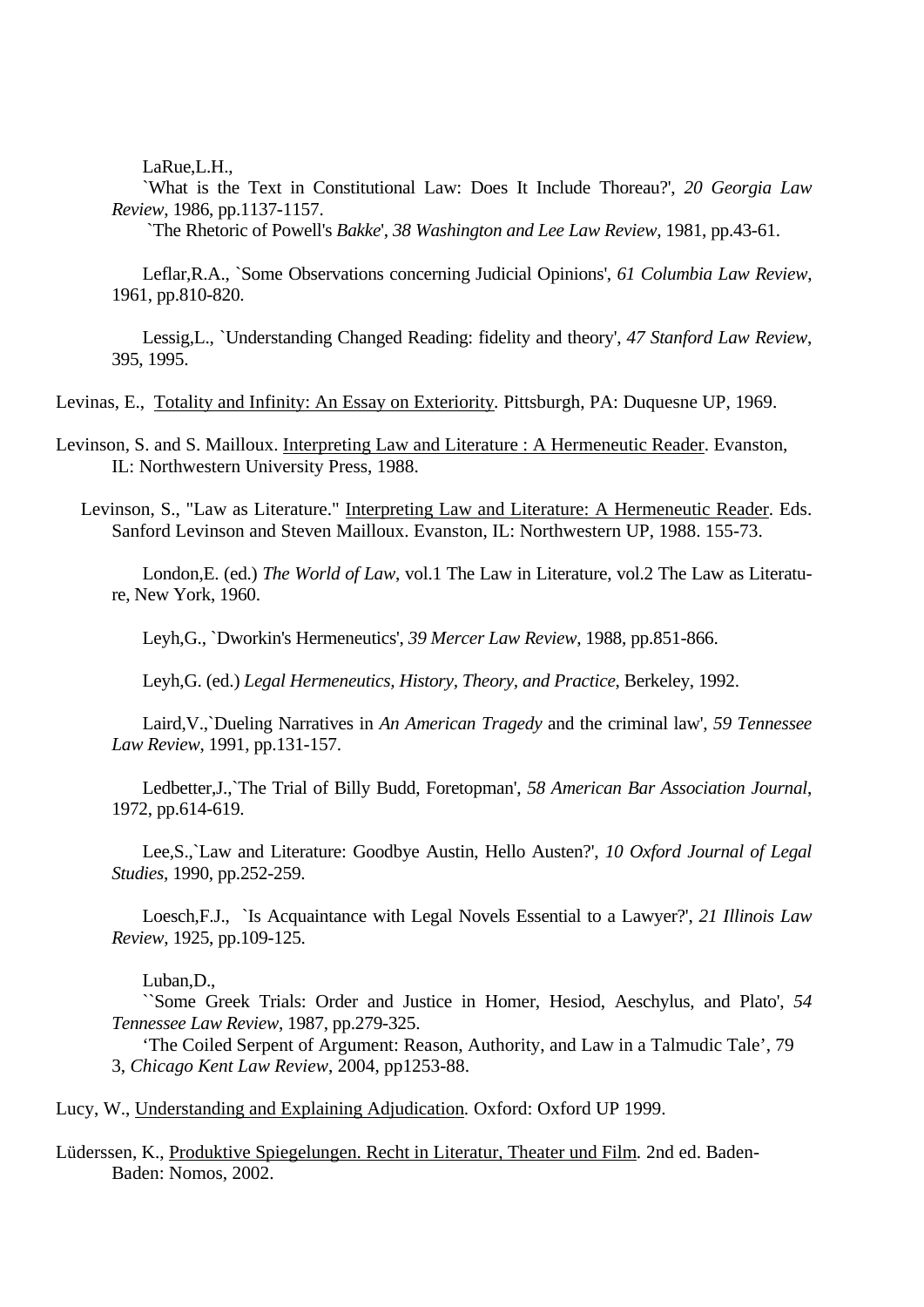LaRue,L.H.,

`What is the Text in Constitutional Law: Does It Include Thoreau?', *20 Georgia Law Review*, 1986, pp.1137-1157.

`The Rhetoric of Powell's *Bakke*', *38 Washington and Lee Law Review*, 1981, pp.43-61.

Leflar,R.A., `Some Observations concerning Judicial Opinions', *61 Columbia Law Review*, 1961, pp.810-820.

Lessig,L., `Understanding Changed Reading: fidelity and theory', *47 Stanford Law Review*, 395, 1995.

Levinas, E., Totality and Infinity: An Essay on Exteriority*.* Pittsburgh, PA: Duquesne UP, 1969.

Levinson, S. and S. Mailloux. Interpreting Law and Literature : A Hermeneutic Reader. Evanston, IL: Northwestern University Press, 1988.

Levinson, S., "Law as Literature." Interpreting Law and Literature: A Hermeneutic Reader. Eds. Sanford Levinson and Steven Mailloux. Evanston, IL: Northwestern UP, 1988. 155-73.

London,E. (ed.) *The World of Law*, vol.1 The Law in Literature, vol.2 The Law as Literature, New York, 1960.

Leyh,G., `Dworkin's Hermeneutics', *39 Mercer Law Review*, 1988, pp.851-866.

Leyh,G. (ed.) *Legal Hermeneutics, History, Theory, and Practice*, Berkeley, 1992.

Laird,V.,`Dueling Narratives in *An American Tragedy* and the criminal law', *59 Tennessee Law Review*, 1991, pp.131-157.

Ledbetter,J.,`The Trial of Billy Budd, Foretopman', *58 American Bar Association Journal*, 1972, pp.614-619.

Lee,S.,`Law and Literature: Goodbye Austin, Hello Austen?', *10 Oxford Journal of Legal Studies*, 1990, pp.252-259.

Loesch,F.J., `Is Acquaintance with Legal Novels Essential to a Lawyer?', *21 Illinois Law Review*, 1925, pp.109-125.

Luban,D.,

``Some Greek Trials: Order and Justice in Homer, Hesiod, Aeschylus, and Plato', *54 Tennessee Law Review*, 1987, pp.279-325.

'The Coiled Serpent of Argument: Reason, Authority, and Law in a Talmudic Tale', 79 3, *Chicago Kent Law Review*, 2004, pp1253-88.

Lucy, W., Understanding and Explaining Adjudication*.* Oxford: Oxford UP 1999.

Lüderssen, K., Produktive Spiegelungen. Recht in Literatur, Theater und Film*.* 2nd ed. Baden-Baden: Nomos, 2002.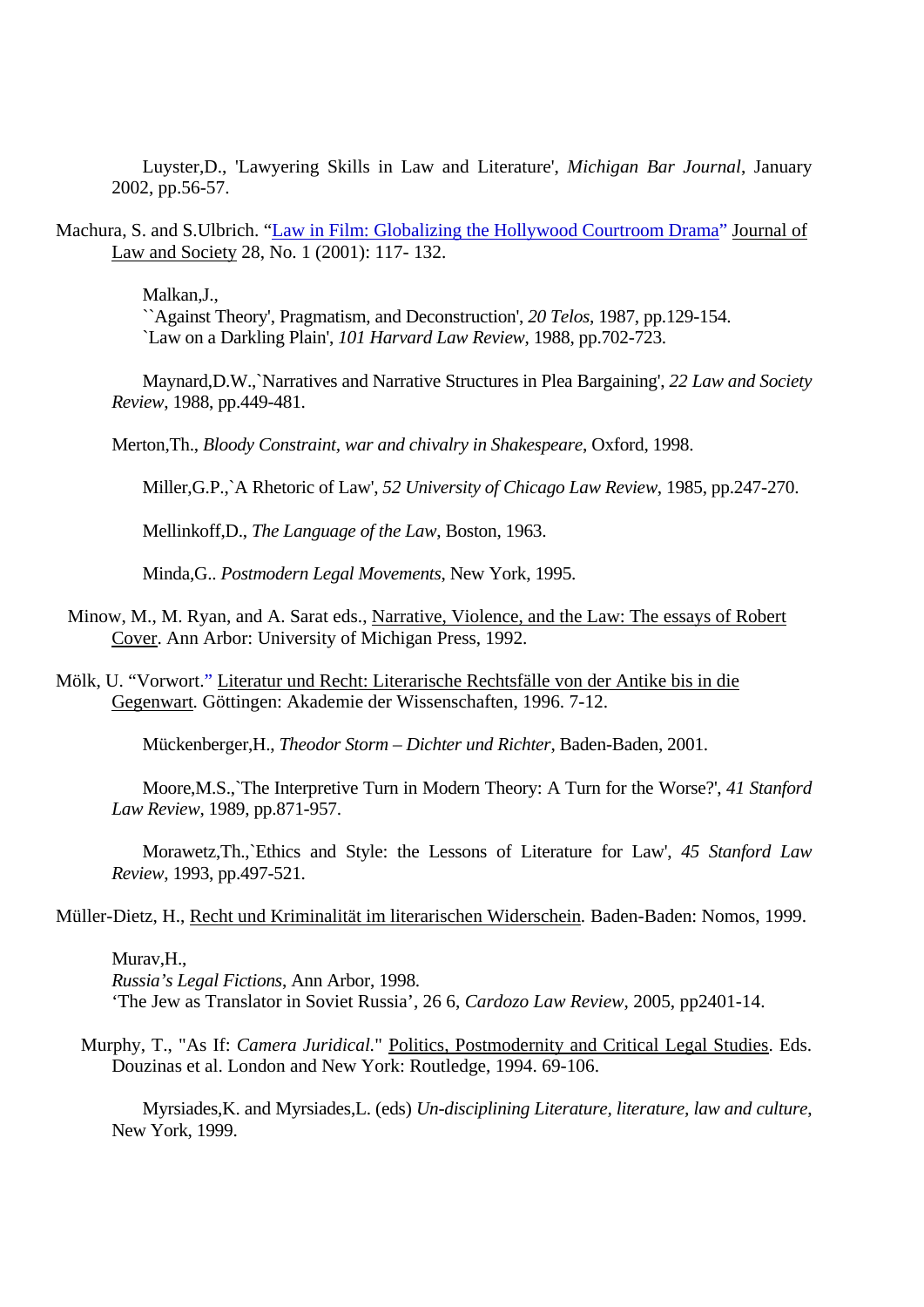Luyster,D., 'Lawyering Skills in Law and Literature', *Michigan Bar Journal*, January 2002, pp.56-57.

Machura, S. and S.Ulbrich. "Law in Film: Globalizing the Hollywood Courtroom Drama" Journal of Law and Society 28, No. 1 (2001): 117- 132.

Malkan,J.,

``Against Theory', Pragmatism, and Deconstruction', *20 Telos*, 1987, pp.129-154. `Law on a Darkling Plain', *101 Harvard Law Review*, 1988, pp.702-723.

Maynard,D.W.,`Narratives and Narrative Structures in Plea Bargaining', *22 Law and Society Review*, 1988, pp.449-481.

Merton,Th., *Bloody Constraint, war and chivalry in Shakespeare*, Oxford, 1998.

Miller,G.P.,`A Rhetoric of Law', *52 University of Chicago Law Review*, 1985, pp.247-270.

Mellinkoff,D., *The Language of the Law*, Boston, 1963.

Minda,G.. *Postmodern Legal Movements*, New York, 1995.

- Minow, M., M. Ryan, and A. Sarat eds., Narrative, Violence, and the Law: The essays of Robert Cover. Ann Arbor: University of Michigan Press, 1992.
- Mölk, U. "Vorwort." Literatur und Recht: Literarische Rechtsfälle von der Antike bis in die Gegenwart*.* Göttingen: Akademie der Wissenschaften, 1996. 7-12.

Mückenberger,H., *Theodor Storm – Dichter und Richter*, Baden-Baden, 2001.

Moore,M.S.,`The Interpretive Turn in Modern Theory: A Turn for the Worse?', *41 Stanford Law Review*, 1989, pp.871-957.

Morawetz,Th.,`Ethics and Style: the Lessons of Literature for Law', *45 Stanford Law Review*, 1993, pp.497-521.

Müller-Dietz, H., Recht und Kriminalität im literarischen Widerschein*.* Baden-Baden: Nomos, 1999.

## Murav,H.,

*Russia's Legal Fictions*, Ann Arbor, 1998. 'The Jew as Translator in Soviet Russia', 26 6, *Cardozo Law Review*, 2005, pp2401-14.

Murphy, T., "As If: *Camera Juridical*." Politics, Postmodernity and Critical Legal Studies. Eds. Douzinas et al. London and New York: Routledge, 1994. 69-106.

Myrsiades,K. and Myrsiades,L. (eds) *Un-disciplining Literature, literature, law and culture*, New York, 1999.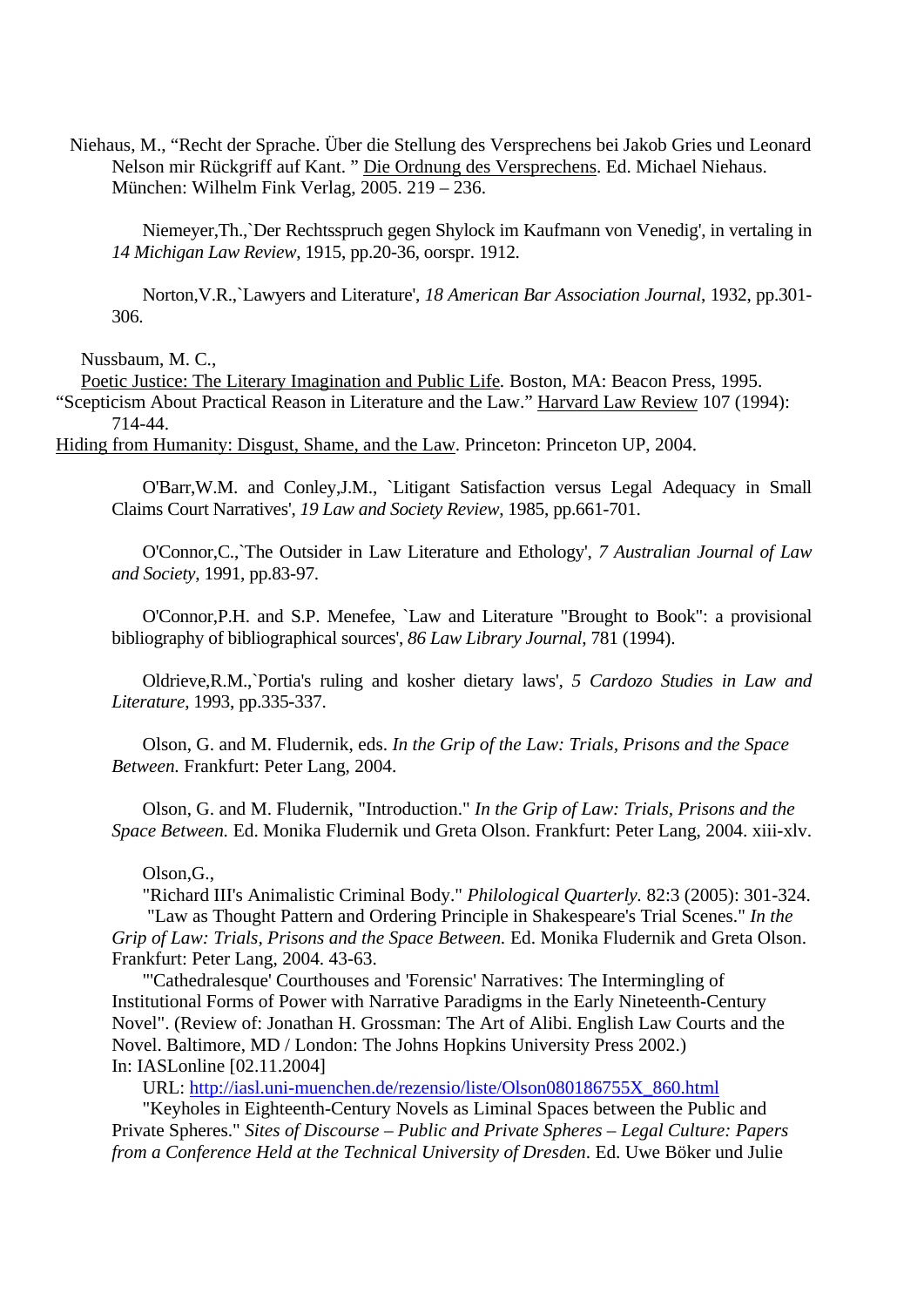Niehaus, M., "Recht der Sprache. Über die Stellung des Versprechens bei Jakob Gries und Leonard Nelson mir Rückgriff auf Kant. " Die Ordnung des Versprechens. Ed. Michael Niehaus. München: Wilhelm Fink Verlag, 2005. 219 – 236.

Niemeyer,Th.,`Der Rechtsspruch gegen Shylock im Kaufmann von Venedig', in vertaling in *14 Michigan Law Review*, 1915, pp.20-36, oorspr. 1912.

Norton,V.R.,`Lawyers and Literature', *18 American Bar Association Journal*, 1932, pp.301- 306.

Nussbaum, M. C.,

Poetic Justice: The Literary Imagination and Public Life*.* Boston, MA: Beacon Press, 1995. "Scepticism About Practical Reason in Literature and the Law." Harvard Law Review 107 (1994): 714-44.

Hiding from Humanity: Disgust, Shame, and the Law. Princeton: Princeton UP, 2004.

O'Barr,W.M. and Conley,J.M., `Litigant Satisfaction versus Legal Adequacy in Small Claims Court Narratives', *19 Law and Society Review*, 1985, pp.661-701.

O'Connor,C.,`The Outsider in Law Literature and Ethology', *7 Australian Journal of Law and Society*, 1991, pp.83-97.

O'Connor,P.H. and S.P. Menefee, `Law and Literature "Brought to Book": a provisional bibliography of bibliographical sources', *86 Law Library Journal*, 781 (1994).

Oldrieve,R.M.,`Portia's ruling and kosher dietary laws', *5 Cardozo Studies in Law and Literature*, 1993, pp.335-337.

Olson, G. and M. Fludernik, eds. *In the Grip of the Law: Trials, Prisons and the Space Between.* Frankfurt: Peter Lang, 2004.

Olson, G. and M. Fludernik, "Introduction." *In the Grip of Law: Trials, Prisons and the Space Between.* Ed. Monika Fludernik und Greta Olson. Frankfurt: Peter Lang, 2004. xiii-xlv.

#### Olson,G.,

"Richard III's Animalistic Criminal Body." *Philological Quarterly.* 82:3 (2005): 301-324. "Law as Thought Pattern and Ordering Principle in Shakespeare's Trial Scenes." *In the Grip of Law: Trials, Prisons and the Space Between.* Ed. Monika Fludernik and Greta Olson. Frankfurt: Peter Lang, 2004. 43-63.

"'Cathedralesque' Courthouses and 'Forensic' Narratives: The Intermingling of Institutional Forms of Power with Narrative Paradigms in the Early Nineteenth-Century Novel". (Review of: Jonathan H. Grossman: The Art of Alibi. English Law Courts and the Novel. Baltimore, MD / London: The Johns Hopkins University Press 2002.) In: IASLonline [02.11.2004]

URL: http://iasl.uni-muenchen.de/rezensio/liste/Olson080186755X\_860.html

"Keyholes in Eighteenth-Century Novels as Liminal Spaces between the Public and Private Spheres." *Sites of Discourse – Public and Private Spheres – Legal Culture: Papers from a Conference Held at the Technical University of Dresden*. Ed. Uwe Böker und Julie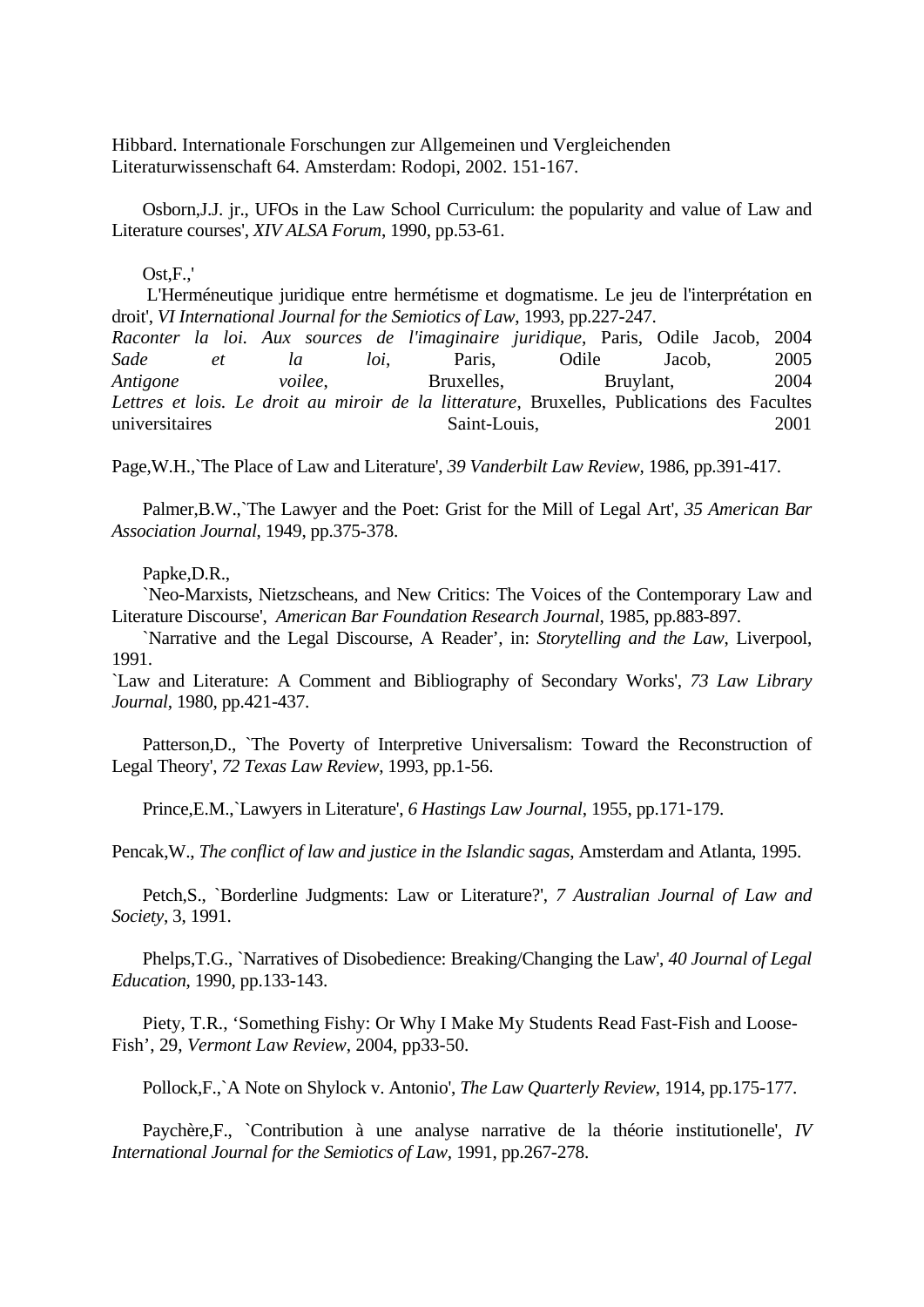Hibbard. Internationale Forschungen zur Allgemeinen und Vergleichenden Literaturwissenschaft 64. Amsterdam: Rodopi, 2002. 151-167.

Osborn,J.J. jr., UFOs in the Law School Curriculum: the popularity and value of Law and Literature courses', *XIV ALSA Forum*, 1990, pp.53-61.

#### $Ost.F.$

L'Herméneutique juridique entre hermétisme et dogmatisme. Le jeu de l'interprétation en droit', *VI International Journal for the Semiotics of Law*, 1993, pp.227-247.

*Raconter la loi. Aux sources de l'imaginaire juridique*, Paris, Odile Jacob, 2004 *Sade et la loi*, Paris, Odile Jacob, 2005 *Antigone voilee*, Bruxelles, Bruylant, 2004 *Lettres et lois. Le droit au miroir de la litterature*, Bruxelles, Publications des Facultes universitaires Saint-Louis, 2001

Page,W.H.,`The Place of Law and Literature', *39 Vanderbilt Law Review*, 1986, pp.391-417.

Palmer,B.W.,`The Lawyer and the Poet: Grist for the Mill of Legal Art', *35 American Bar Association Journal*, 1949, pp.375-378.

### Papke,D.R.,

`Neo-Marxists, Nietzscheans, and New Critics: The Voices of the Contemporary Law and Literature Discourse', *American Bar Foundation Research Journal*, 1985, pp.883-897.

`Narrative and the Legal Discourse, A Reader', in: *Storytelling and the Law*, Liverpool, 1991.

`Law and Literature: A Comment and Bibliography of Secondary Works', *73 Law Library Journal*, 1980, pp.421-437.

Patterson,D., `The Poverty of Interpretive Universalism: Toward the Reconstruction of Legal Theory', *72 Texas Law Review*, 1993, pp.1-56.

Prince,E.M.,`Lawyers in Literature', *6 Hastings Law Journal*, 1955, pp.171-179.

Pencak,W., *The conflict of law and justice in the Islandic sagas*, Amsterdam and Atlanta, 1995.

Petch,S., `Borderline Judgments: Law or Literature?', *7 Australian Journal of Law and Society*, 3, 1991.

Phelps,T.G., `Narratives of Disobedience: Breaking/Changing the Law', *40 Journal of Legal Education*, 1990, pp.133-143.

Piety, T.R., 'Something Fishy: Or Why I Make My Students Read Fast-Fish and Loose-Fish', 29, *Vermont Law Review*, 2004, pp33-50.

Pollock,F.,`A Note on Shylock v. Antonio', *The Law Quarterly Review*, 1914, pp.175-177.

Paychère,F., `Contribution à une analyse narrative de la théorie institutionelle', *IV International Journal for the Semiotics of Law*, 1991, pp.267-278.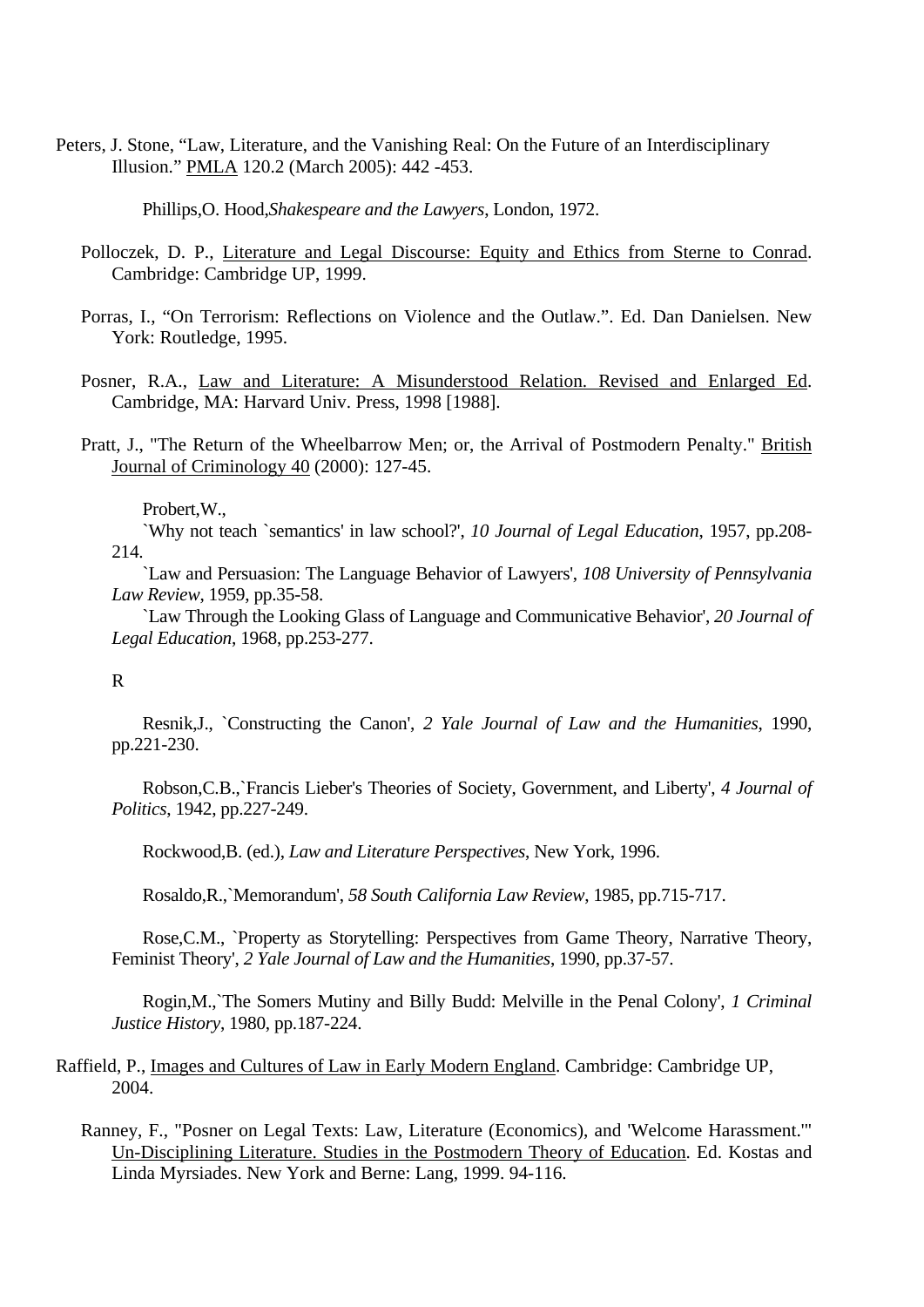Peters, J. Stone, "Law, Literature, and the Vanishing Real: On the Future of an Interdisciplinary Illusion." PMLA 120.2 (March 2005): 442 -453.

Phillips,O. Hood,*Shakespeare and the Lawyers*, London, 1972.

- Polloczek, D. P., Literature and Legal Discourse: Equity and Ethics from Sterne to Conrad. Cambridge: Cambridge UP, 1999.
- Porras, I., "On Terrorism: Reflections on Violence and the Outlaw.". Ed. Dan Danielsen. New York: Routledge, 1995.
- Posner, R.A., Law and Literature: A Misunderstood Relation. Revised and Enlarged Ed. Cambridge, MA: Harvard Univ. Press, 1998 [1988].
- Pratt, J., "The Return of the Wheelbarrow Men; or, the Arrival of Postmodern Penalty." British Journal of Criminology 40 (2000): 127-45.

#### Probert,W.,

`Why not teach `semantics' in law school?', *10 Journal of Legal Education*, 1957, pp.208- 214.

`Law and Persuasion: The Language Behavior of Lawyers', *108 University of Pennsylvania Law Review*, 1959, pp.35-58.

`Law Through the Looking Glass of Language and Communicative Behavior', *20 Journal of Legal Education*, 1968, pp.253-277.

### R

Resnik,J., `Constructing the Canon', *2 Yale Journal of Law and the Humanities*, 1990, pp.221-230.

Robson,C.B.,`Francis Lieber's Theories of Society, Government, and Liberty', *4 Journal of Politics*, 1942, pp.227-249.

Rockwood,B. (ed.), *Law and Literature Perspectives*, New York, 1996.

Rosaldo,R.,`Memorandum', *58 South California Law Review*, 1985, pp.715-717.

Rose,C.M., `Property as Storytelling: Perspectives from Game Theory, Narrative Theory, Feminist Theory', *2 Yale Journal of Law and the Humanities*, 1990, pp.37-57.

Rogin,M.,`The Somers Mutiny and Billy Budd: Melville in the Penal Colony', *1 Criminal Justice History*, 1980, pp.187-224.

# Raffield, P., Images and Cultures of Law in Early Modern England. Cambridge: Cambridge UP, 2004.

Ranney, F., "Posner on Legal Texts: Law, Literature (Economics), and 'Welcome Harassment.'" Un-Disciplining Literature. Studies in the Postmodern Theory of Education. Ed. Kostas and Linda Myrsiades. New York and Berne: Lang, 1999. 94-116.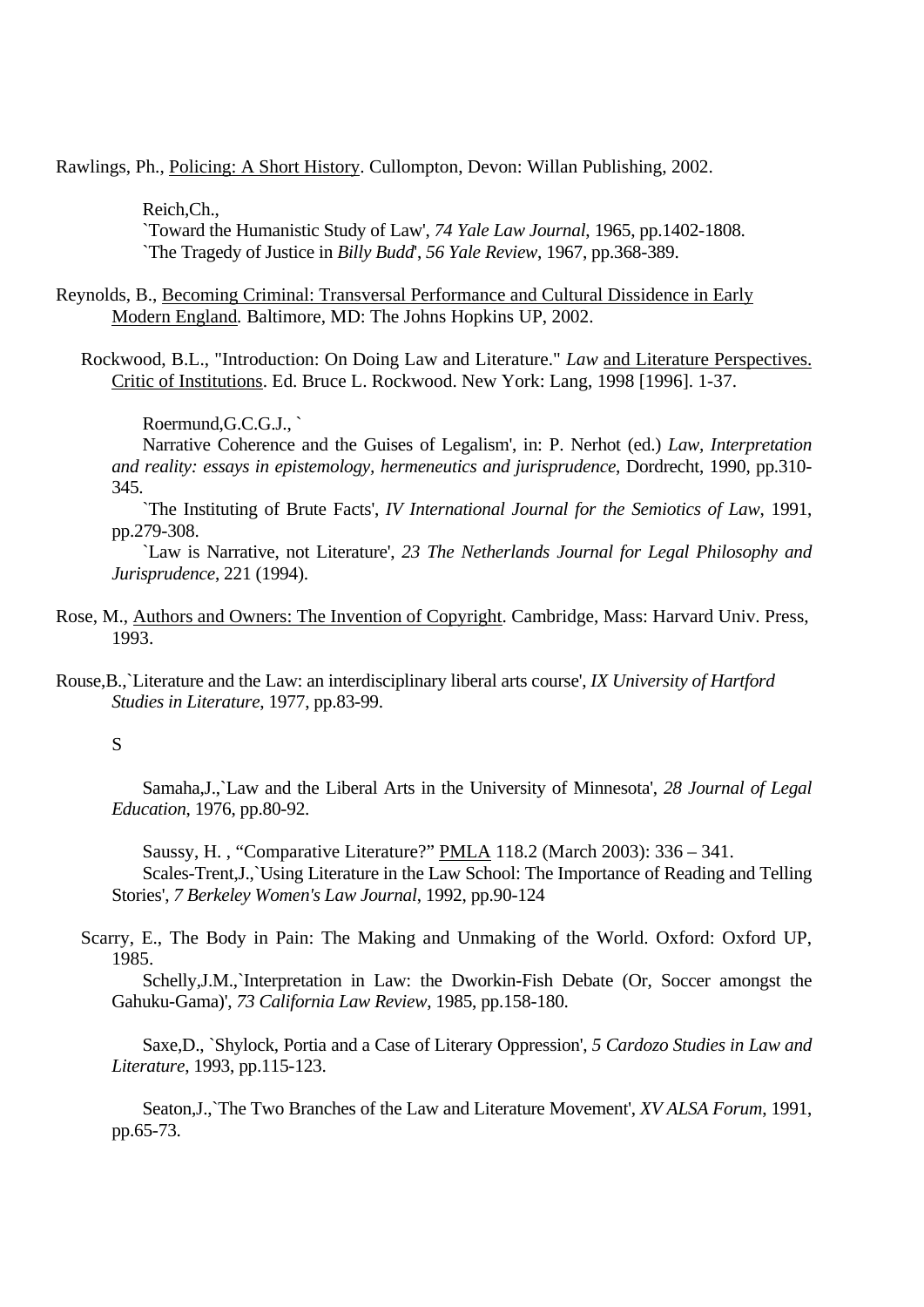Rawlings, Ph., Policing: A Short History. Cullompton, Devon: Willan Publishing, 2002.

Reich,Ch.,

`Toward the Humanistic Study of Law', *74 Yale Law Journal*, 1965, pp.1402-1808. `The Tragedy of Justice in *Billy Budd*', *56 Yale Review*, 1967, pp.368-389.

Reynolds, B., Becoming Criminal: Transversal Performance and Cultural Dissidence in Early Modern England*.* Baltimore, MD: The Johns Hopkins UP, 2002.

Rockwood, B.L., "Introduction: On Doing Law and Literature." *Law* and Literature Perspectives. Critic of Institutions. Ed. Bruce L. Rockwood. New York: Lang, 1998 [1996]. 1-37.

Roermund,G.C.G.J., `

Narrative Coherence and the Guises of Legalism', in: P. Nerhot (ed.) *Law, Interpretation and reality: essays in epistemology, hermeneutics and jurisprudence*, Dordrecht, 1990, pp.310- 345.

`The Instituting of Brute Facts', *IV International Journal for the Semiotics of Law*, 1991, pp.279-308.

`Law is Narrative, not Literature', *23 The Netherlands Journal for Legal Philosophy and Jurisprudence*, 221 (1994).

- Rose, M., Authors and Owners: The Invention of Copyright. Cambridge, Mass: Harvard Univ. Press, 1993.
- Rouse,B.,`Literature and the Law: an interdisciplinary liberal arts course', *IX University of Hartford Studies in Literature*, 1977, pp.83-99.

S

Samaha,J.,`Law and the Liberal Arts in the University of Minnesota', *28 Journal of Legal Education*, 1976, pp.80-92.

Saussy, H. , "Comparative Literature?" PMLA 118.2 (March 2003): 336 – 341. Scales-Trent,J.,`Using Literature in the Law School: The Importance of Reading and Telling Stories', *7 Berkeley Women's Law Journal*, 1992, pp.90-124

Scarry, E., The Body in Pain: The Making and Unmaking of the World. Oxford: Oxford UP, 1985.

Schelly,J.M.,`Interpretation in Law: the Dworkin-Fish Debate (Or, Soccer amongst the Gahuku-Gama)', *73 California Law Review*, 1985, pp.158-180.

Saxe,D., `Shylock, Portia and a Case of Literary Oppression', *5 Cardozo Studies in Law and Literature*, 1993, pp.115-123.

Seaton,J.,`The Two Branches of the Law and Literature Movement', *XV ALSA Forum*, 1991, pp.65-73.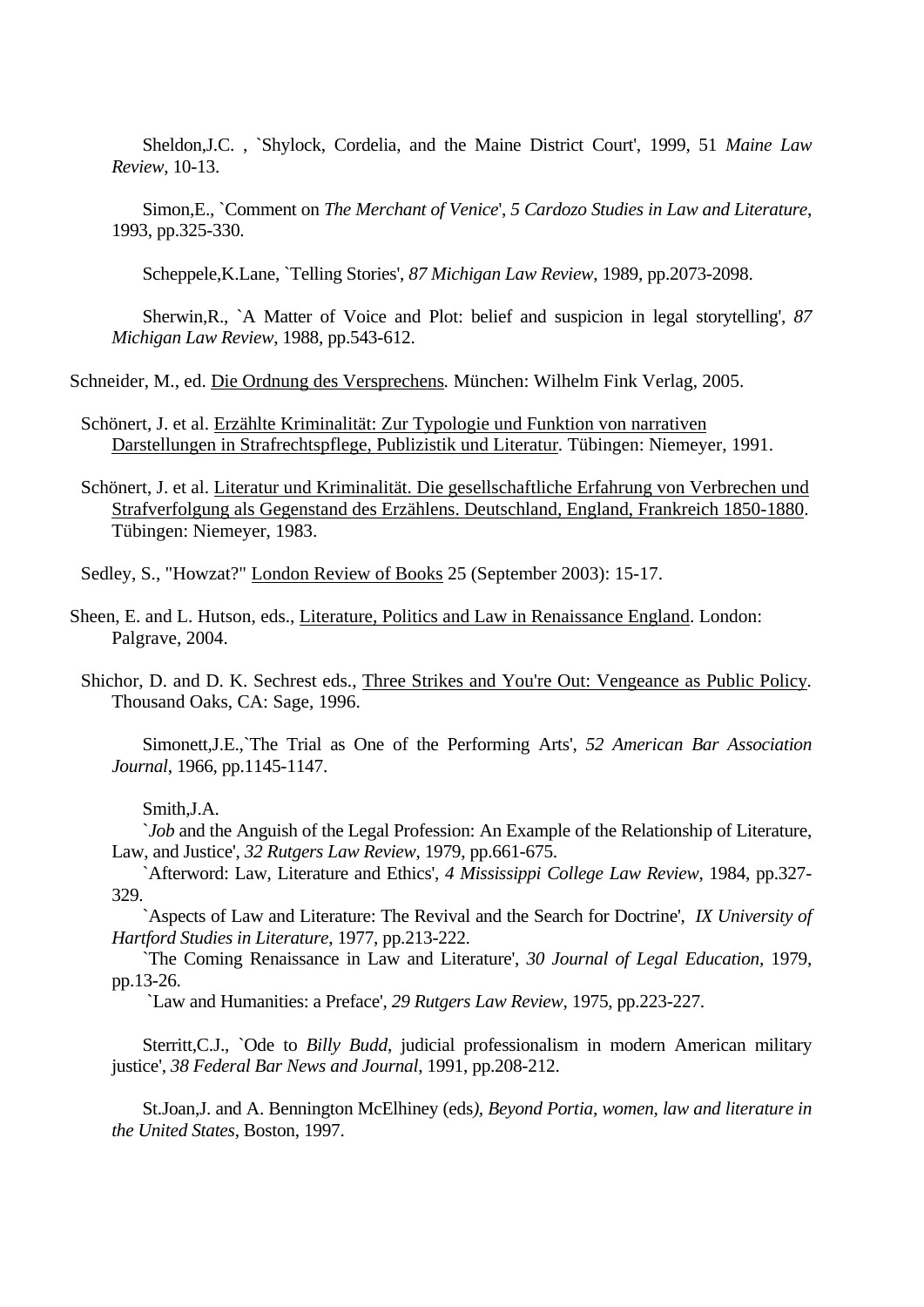Sheldon,J.C. , `Shylock, Cordelia, and the Maine District Court', 1999, 51 *Maine Law Review*, 10-13.

Simon,E., `Comment on *The Merchant of Venice*', *5 Cardozo Studies in Law and Literature*, 1993, pp.325-330.

Scheppele,K.Lane, `Telling Stories', *87 Michigan Law Review*, 1989, pp.2073-2098.

Sherwin,R., `A Matter of Voice and Plot: belief and suspicion in legal storytelling', *87 Michigan Law Review*, 1988, pp.543-612.

Schneider, M., ed. Die Ordnung des Versprechens*.* München: Wilhelm Fink Verlag, 2005.

Schönert, J. et al. Erzählte Kriminalität: Zur Typologie und Funktion von narrativen Darstellungen in Strafrechtspflege, Publizistik und Literatur*.* Tübingen: Niemeyer, 1991.

Schönert, J. et al. Literatur und Kriminalität. Die gesellschaftliche Erfahrung von Verbrechen und Strafverfolgung als Gegenstand des Erzählens. Deutschland, England, Frankreich 1850-1880. Tübingen: Niemeyer, 1983.

Sedley, S., "Howzat?" London Review of Books 25 (September 2003): 15-17.

Sheen, E. and L. Hutson, eds., Literature, Politics and Law in Renaissance England. London: Palgrave, 2004.

Shichor, D. and D. K. Sechrest eds., Three Strikes and You're Out: Vengeance as Public Policy*.*  Thousand Oaks, CA: Sage, 1996.

Simonett,J.E.,`The Trial as One of the Performing Arts', *52 American Bar Association Journal*, 1966, pp.1145-1147.

Smith,J.A.

*`Job* and the Anguish of the Legal Profession: An Example of the Relationship of Literature, Law, and Justice', *32 Rutgers Law Review*, 1979, pp.661-675.

`Afterword: Law, Literature and Ethics', *4 Mississippi College Law Review*, 1984, pp.327- 329.

`Aspects of Law and Literature: The Revival and the Search for Doctrine', *IX University of Hartford Studies in Literature*, 1977, pp.213-222.

`The Coming Renaissance in Law and Literature', *30 Journal of Legal Education*, 1979, pp.13-26.

`Law and Humanities: a Preface', *29 Rutgers Law Review*, 1975, pp.223-227.

Sterritt,C.J., `Ode to *Billy Budd*, judicial professionalism in modern American military justice', *38 Federal Bar News and Journal*, 1991, pp.208-212.

St.Joan,J. and A. Bennington McElhiney (eds*), Beyond Portia, women, law and literature in the United States*, Boston, 1997.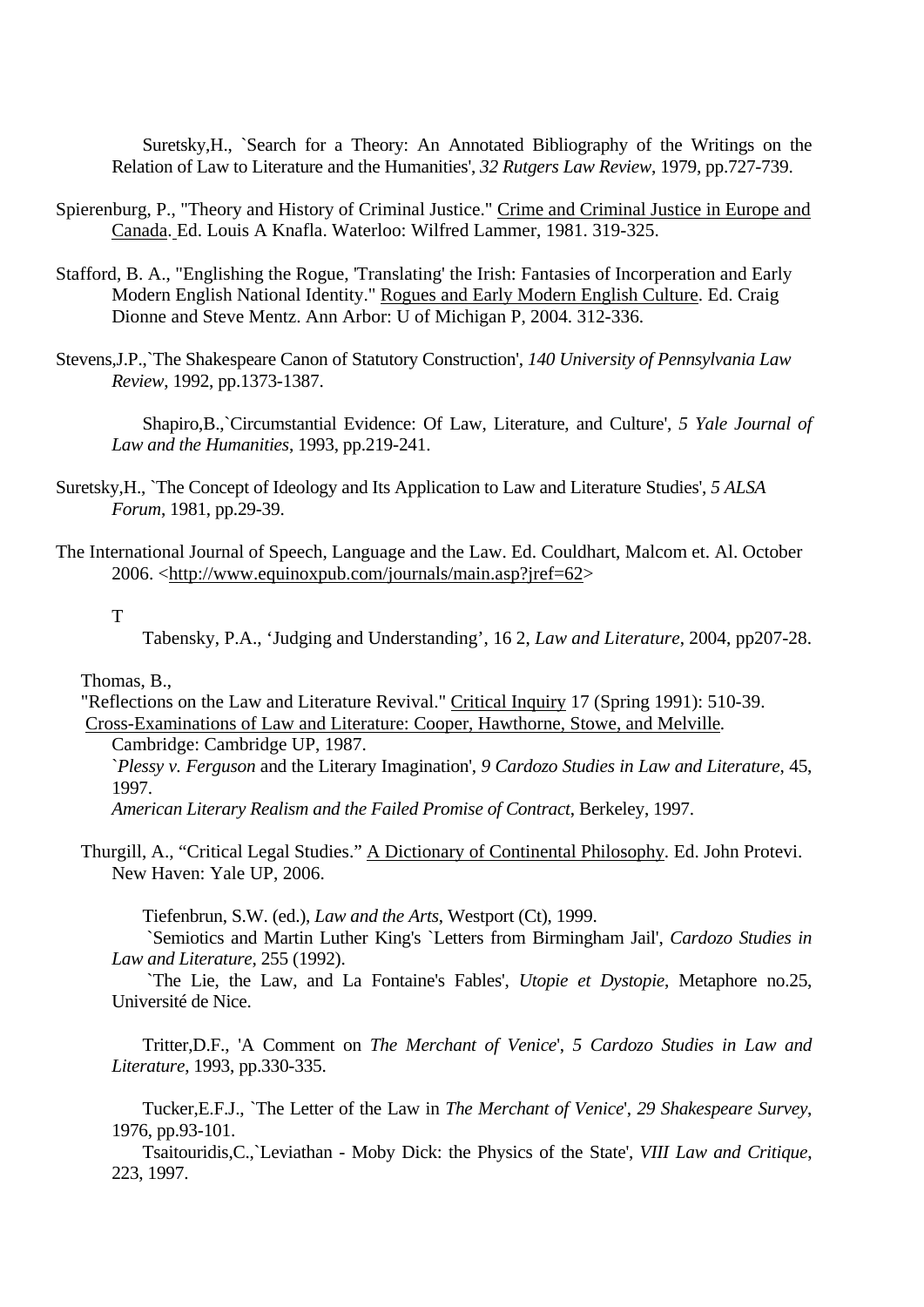Suretsky,H., `Search for a Theory: An Annotated Bibliography of the Writings on the Relation of Law to Literature and the Humanities', *32 Rutgers Law Review*, 1979, pp.727-739.

- Spierenburg, P., "Theory and History of Criminal Justice." Crime and Criminal Justice in Europe and Canada. Ed. Louis A Knafla. Waterloo: Wilfred Lammer, 1981. 319-325.
- Stafford, B. A., "Englishing the Rogue, 'Translating' the Irish: Fantasies of Incorperation and Early Modern English National Identity." Rogues and Early Modern English Culture. Ed. Craig Dionne and Steve Mentz. Ann Arbor: U of Michigan P, 2004. 312-336.
- Stevens,J.P.,`The Shakespeare Canon of Statutory Construction', *140 University of Pennsylvania Law Review*, 1992, pp.1373-1387.

Shapiro,B.,`Circumstantial Evidence: Of Law, Literature, and Culture', *5 Yale Journal of Law and the Humanities*, 1993, pp.219-241.

- Suretsky,H., `The Concept of Ideology and Its Application to Law and Literature Studies', *5 ALSA Forum*, 1981, pp.29-39.
- The International Journal of Speech, Language and the Law. Ed. Couldhart, Malcom et. Al. October 2006. <http://www.equinoxpub.com/journals/main.asp?jref=62>

T

Tabensky, P.A., 'Judging and Understanding', 16 2, *Law and Literature*, 2004, pp207-28.

Thomas, B.,

"Reflections on the Law and Literature Revival." Critical Inquiry 17 (Spring 1991): 510-39. Cross-Examinations of Law and Literature: Cooper, Hawthorne, Stowe, and Melville*.* 

Cambridge: Cambridge UP, 1987.

`*Plessy v. Ferguson* and the Literary Imagination', *9 Cardozo Studies in Law and Literature*, 45, 1997.

*American Literary Realism and the Failed Promise of Contract*, Berkeley, 1997.

Thurgill, A., "Critical Legal Studies." A Dictionary of Continental Philosophy*.* Ed. John Protevi. New Haven: Yale UP, 2006.

Tiefenbrun, S.W. (ed.), *Law and the Arts*, Westport (Ct), 1999.

`Semiotics and Martin Luther King's `Letters from Birmingham Jail', *Cardozo Studies in Law and Literature*, 255 (1992).

`The Lie, the Law, and La Fontaine's Fables', *Utopie et Dystopie*, Metaphore no.25, Université de Nice.

Tritter,D.F., 'A Comment on *The Merchant of Venice*', *5 Cardozo Studies in Law and Literature*, 1993, pp.330-335.

Tucker,E.F.J., `The Letter of the Law in *The Merchant of Venice*', *29 Shakespeare Survey*, 1976, pp.93-101.

Tsaitouridis,C.,`Leviathan - Moby Dick: the Physics of the State', *VIII Law and Critique*, 223, 1997.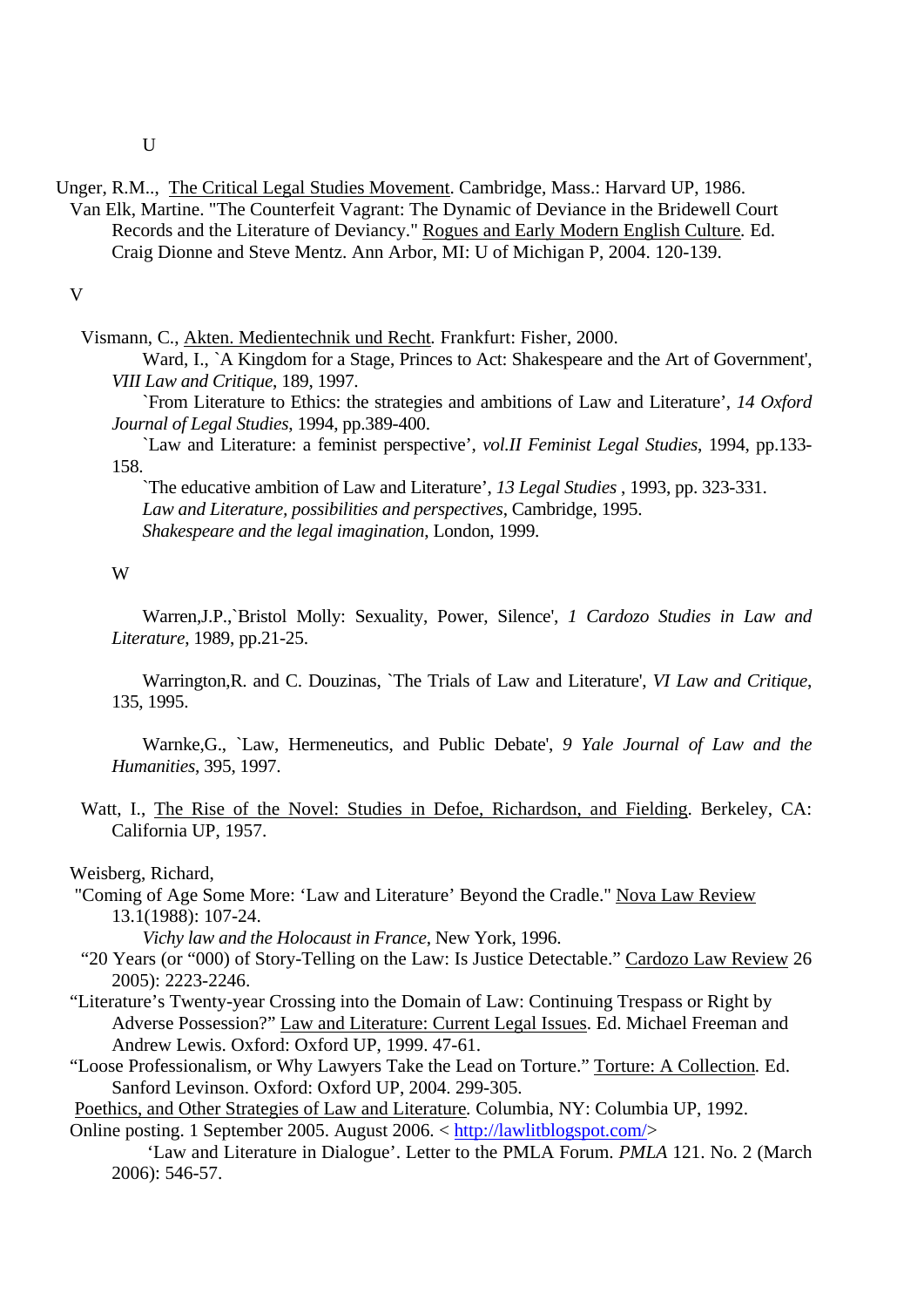- Unger, R.M.., The Critical Legal Studies Movement. Cambridge, Mass.: Harvard UP, 1986. Van Elk, Martine. "The Counterfeit Vagrant: The Dynamic of Deviance in the Bridewell Court
	- Records and the Literature of Deviancy." Rogues and Early Modern English Culture*.* Ed. Craig Dionne and Steve Mentz. Ann Arbor, MI: U of Michigan P, 2004. 120-139.

V

Vismann, C., Akten. Medientechnik und Recht*.* Frankfurt: Fisher, 2000.

Ward, I., `A Kingdom for a Stage, Princes to Act: Shakespeare and the Art of Government', *VIII Law and Critique*, 189, 1997.

`From Literature to Ethics: the strategies and ambitions of Law and Literature', *14 Oxford Journal of Legal Studies*, 1994, pp.389-400.

`Law and Literature: a feminist perspective', *vol.II Feminist Legal Studies*, 1994, pp.133- 158.

`The educative ambition of Law and Literature', *13 Legal Studies* , 1993, pp. 323-331. *Law and Literature, possibilities and perspectives*, Cambridge, 1995. *Shakespeare and the legal imagination*, London, 1999.

#### W

Warren,J.P.,`Bristol Molly: Sexuality, Power, Silence', *1 Cardozo Studies in Law and Literature*, 1989, pp.21-25.

Warrington,R. and C. Douzinas, `The Trials of Law and Literature', *VI Law and Critique*, 135, 1995.

Warnke,G., `Law, Hermeneutics, and Public Debate', *9 Yale Journal of Law and the Humanities*, 395, 1997.

Watt, I., The Rise of the Novel: Studies in Defoe, Richardson, and Fielding. Berkeley, CA: California UP, 1957.

#### Weisberg, Richard,

"Coming of Age Some More: 'Law and Literature' Beyond the Cradle." Nova Law Review 13.1(1988): 107-24.

*Vichy law and the Holocaust in France*, New York, 1996.

- "20 Years (or "000) of Story-Telling on the Law: Is Justice Detectable." Cardozo Law Review 26 2005): 2223-2246.
- "Literature's Twenty-year Crossing into the Domain of Law: Continuing Trespass or Right by Adverse Possession?" Law and Literature: Current Legal Issues. Ed. Michael Freeman and Andrew Lewis. Oxford: Oxford UP, 1999. 47-61.
- "Loose Professionalism, or Why Lawyers Take the Lead on Torture." Torture: A Collection*.* Ed. Sanford Levinson. Oxford: Oxford UP, 2004. 299-305.

Poethics, and Other Strategies of Law and Literature*.* Columbia, NY: Columbia UP, 1992. Online posting. 1 September 2005. August 2006. < http://lawlitblogspot.com/>

'Law and Literature in Dialogue'. Letter to the PMLA Forum. *PMLA* 121. No. 2 (March 2006): 546-57.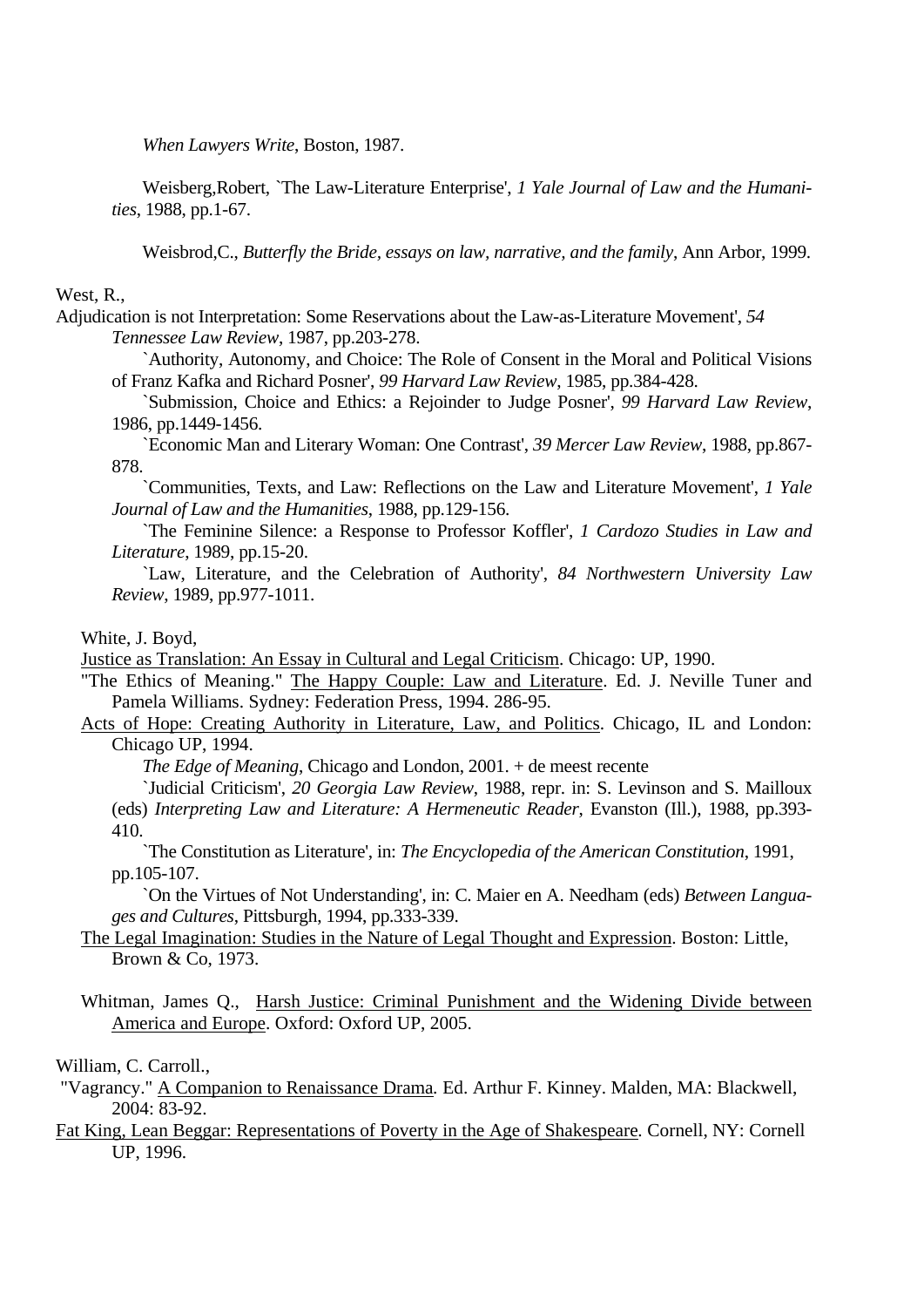*When Lawyers Write*, Boston, 1987.

Weisberg,Robert, `The Law-Literature Enterprise', *1 Yale Journal of Law and the Humanities*, 1988, pp.1-67.

Weisbrod,C., *Butterfly the Bride, essays on law, narrative, and the family*, Ann Arbor, 1999.

# West, R.,

Adjudication is not Interpretation: Some Reservations about the Law-as-Literature Movement', *54 Tennessee Law Review*, 1987, pp.203-278.

`Authority, Autonomy, and Choice: The Role of Consent in the Moral and Political Visions of Franz Kafka and Richard Posner', *99 Harvard Law Review*, 1985, pp.384-428.

`Submission, Choice and Ethics: a Rejoinder to Judge Posner', *99 Harvard Law Review*, 1986, pp.1449-1456.

`Economic Man and Literary Woman: One Contrast', *39 Mercer Law Review*, 1988, pp.867- 878.

`Communities, Texts, and Law: Reflections on the Law and Literature Movement', *1 Yale Journal of Law and the Humanities*, 1988, pp.129-156.

`The Feminine Silence: a Response to Professor Koffler', *1 Cardozo Studies in Law and Literature*, 1989, pp.15-20.

`Law, Literature, and the Celebration of Authority', *84 Northwestern University Law Review*, 1989, pp.977-1011.

## White, J. Boyd,

Justice as Translation: An Essay in Cultural and Legal Criticism. Chicago: UP, 1990.

"The Ethics of Meaning." The Happy Couple: Law and Literature. Ed. J. Neville Tuner and Pamela Williams. Sydney: Federation Press, 1994. 286-95.

# Acts of Hope: Creating Authority in Literature, Law, and Politics. Chicago, IL and London: Chicago UP, 1994.

*The Edge of Meaning*, Chicago and London, 2001. + de meest recente

`Judicial Criticism', *20 Georgia Law Review*, 1988, repr. in: S. Levinson and S. Mailloux (eds) *Interpreting Law and Literature: A Hermeneutic Reader*, Evanston (Ill.), 1988, pp.393- 410.

`The Constitution as Literature', in: *The Encyclopedia of the American Constitution*, 1991, pp.105-107.

`On the Virtues of Not Understanding', in: C. Maier en A. Needham (eds) *Between Languages and Cultures*, Pittsburgh, 1994, pp.333-339.

- The Legal Imagination: Studies in the Nature of Legal Thought and Expression. Boston: Little, Brown & Co, 1973.
- Whitman, James Q., Harsh Justice: Criminal Punishment and the Widening Divide between America and Europe. Oxford: Oxford UP, 2005.

### William, C. Carroll.,

- "Vagrancy." A Companion to Renaissance Drama*.* Ed. Arthur F. Kinney. Malden, MA: Blackwell, 2004: 83-92.
- Fat King, Lean Beggar: Representations of Poverty in the Age of Shakespeare*.* Cornell, NY: Cornell UP, 1996.